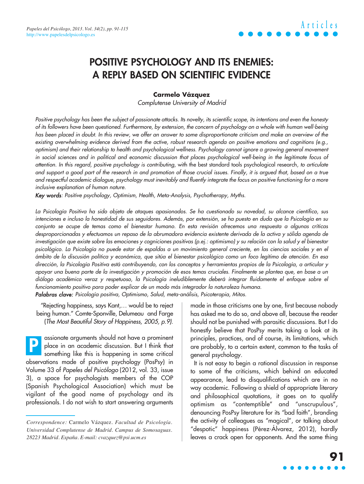## **POSITIVE PSYCHOLOGY AND ITS ENEMIES: A REPLY BASED ON SCIENTIFIC EVIDENCE**

### **Carmelo Vázquez**

Complutense University of Madrid

Positive psychology has been the subject of passionate attacks. Its novelty, its scientific scope, its intentions and even the honesty of its followers have been questioned. Furthermore, by extension, the concern of psychology on a whole with human well-being has been placed in doubt. In this review, we offer an answer to some disproportionate criticism and make an overview of the existing overwhelming evidence derived from the active, robust research agenda on positive emotions and cognitions (e.g., optimism) and their relationship to health and psychological wellness. Psychology cannot ignore a growing general movement in social sciences and in political and economic discussion that places psychological well-being in the legitimate focus of attention. In this regard, positive psychology is contributing, with the best standard tools psychological research, to articulate and support a good part of the research in and promotion of those crucial issues. Finally, it is argued that, based on a true and respectful academic dialogue, psychology must inevitably and fluently integrate the focus on positive functioning for a more inclusive explanation of human nature.

Key words: Positive psychology, Optimism, Health, Meta-Analysis, Psychotherapy, Myths.

La Psicología Positiva ha sido objeto de ataques apasionados. Se ha cuestionado su novedad, su alcance científico, sus intenciones e incluso la honestidad de sus seguidores. Además, por extensión, se ha puesto en duda que la Psicología en su conjunto se ocupe de temas como el bienestar humano. En esta revisión ofrecemos una respuesta a algunas críticas desproporcionadas y efectuamos un repaso de la abrumadora evidencia existente derivada de la activa y sólida agenda de investigación que existe sobre las emociones y cogniciones positivas (p.ej.: optimismo) y su relación con la salud y el bienestar psicológico. La Psicología no puede estar de espaldas a un movimiento general creciente, en las ciencias sociales y en el ámbito de la discusión política y económica, que sitúa el bienestar psicológico como un foco legítimo de atención. En esa dirección, la Psicología Positiva está contribuyendo, con los conceptos y herramientas propios de la Psicología, a articular y apoyar una buena parte de la investigación y promoción de esos temas cruciales. Finalmente se plantea que, en base a un diálogo académico veraz y respetuoso, la Psicología ineludiblemente deberá integrar fluidamente el enfoque sobre el funcionamiento positivo para poder explicar de un modo más integrador la naturaleza humana. Palabras clave: Psicología positiva, Optimismo, Salud, meta-análisis, Psicoterapia, Mitos.

"Rejecting happiness, says Kant,… would be to reject being human." Comte-Sponville, Delumeau and Farge (The Most Beautiful Story of Happiness, 2005, p.9).

assionate arguments should not have a prominent place in an academic discussion. But I think that something like this is happening in some critical observations made of positive psychology (PosPsy) in Volume 33 of Papeles del Psicólogo (2012, vol. 33, issue 3), a space for psychologists members of the COP (Spanish Psychological Association) which must be vigilant of the good name of psychology and its professionals. I do not wish to start answering arguments **P**

made in those criticisms one by one, first because nobody has asked me to do so, and above all, because the reader should not be punished with parasitic discussions. But I do honestly believe that PosPsy merits taking a look at its principles, practices, and of course, its limitations, which are probably, to a certain extent, common to the tasks of general psychology.

It is not easy to begin a rational discussion in response to some of the criticisms, which behind an educated appearance, lead to disqualifications which are in no way academic. Following a shield of appropriate literary and philosophical quotations, it goes on to qualify optimism as "contemptible" and "unscrupulous", denouncing PosPsy literature for its "bad faith", branding the activity of colleagues as "magical", or talking about "despotic" happiness (Pérez-Álvarez, 2012), hardly leaves a crack open for opponents. And the same thing

*Correspondence:* Carmelo Vázquez. *Facultad de Psicología. Universidad Complutense de Madrid. Campus de Somosaguas. 28223 Madrid. España. E-mail: cvazquez@psi.ucm.es*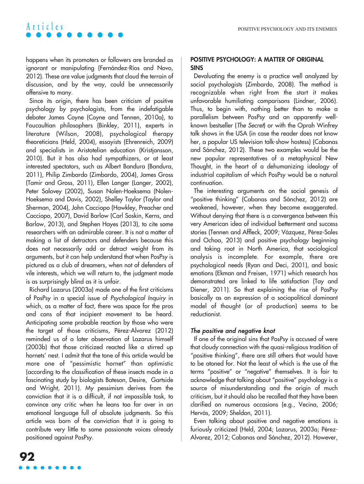happens when its promoters or followers are branded as ignorant or manipulating (Fernández-Ríos and Novo, 2012). These are value judgments that cloud the terrain of discussion, and by the way, could be unnecessarily offensive to many.

Since its origin, there has been criticism of positive psychology by psychologists, from the indefatigable debater James Coyne (Coyne and Tennen, 2010a), to Foucaultian philosophers (Binkley, 2011), experts in literature (Wilson, 2008), psychological therapy theoreticians (Held, 2004), essayists (Ehrenreich, 2009) and specialists in Aristotelian education (Kristjansson, 2010). But it has also had sympathizers, or at least interested spectators, such as Albert Bandura (Bandura, 2011), Philip Zimbardo (Zimbardo, 2004), James Gross (Tamir and Gross, 2011), Ellen Langer (Langer, 2002), Peter Salovey (2002), Susan Nolen-Hoeksema (Nolen-Hoeksema and Davis, 2002), Shelley Taylor (Taylor and Sherman, 2004), John Cacciopo (Hawkley, Preacher and Cacciopo, 2007), David Barlow (Carl Soskin, Kerns, and Barlow, 2013), and Stephen Hayes (2013), to cite some researchers with an admirable career. It is not a matter of making a list of detractors and defenders because this does not necessarily add or detract weight from its arguments, but it can help understand that when PosPsy is pictured as a club of dreamers, when not of defenders of vile interests, which we will return to, the judgment made is as surprisingly blind as it is unfair.

Richard Lazarus (2003a) made one of the first criticisms of PosPsy in a special issue of Psychological Inquiry in which, as a matter of fact, there was space for the pros and cons of that incipient movement to be heard. Anticipating some probable reaction by those who were the target of those criticisms, Pérez-Alvarez (2012) reminded us of a later observation of Lazarus himself (2003b) that those criticized reacted like a stirred up hornets' nest. I admit that the tone of this article would be more one of "pessimistic hornet" than optimistic (according to the classification of these insects made in a fascinating study by biologists Bateson, Desire, Gartside and Wright, 2011). My pessimism derives from the conviction that it is a difficult, if not impossible task, to convince any critic when he leans too far over in an emotional language full of absolute judgments. So this article was born of the conviction that it is going to contribute very little to some passionate voices already positioned against PosPsy.

### **POSITIVE PSYCHOLOGY: A MATTER OF ORIGINAL SINS**

Devaluating the enemy is a practice well analyzed by social psychologists (Zimbardo, 2008). The method is recognizable when right from the start it makes unfavorable humiliating comparisons (Lindner, 2006). Thus, to begin with, nothing better than to make a parallelism between PosPsy and an apparently wellknown bestseller (The Secret) or with the Oprah Winfrey talk shows in the USA (in case the reader does not know her, a popular US television talk-show hostess) (Cabanas and Sánchez, 2012). These two examples would be the new popular representatives of a metaphysical New Thought, in the heart of a dehumanizing ideology of industrial capitalism of which PosPsy would be a natural continuation.

The interesting arguments on the social genesis of "positive thinking" (Cabanas and Sánchez, 2012) are weakened, however, when they become exaggerated. Without denying that there is a convergence between this very American idea of individual betterment and success stories (Tennen and Affleck, 2009; Vázquez, Pérez-Sales and Ochoa, 2013) and positive psychology beginning and taking root in North America, that sociological analysis is incomplete. For example, there are psychological needs (Ryan and Deci, 2001), and basic emotions (Ekman and Freisen, 1971) which research has demonstrated are linked to life satisfaction (Tay and Diener, 2011). So that explaining the rise of PosPsy basically as an expression of a sociopolitical dominant model of thought (or of production) seems to be reductionist.

### The positive and negative knot

If one of the original sins that PosPsy is accused of were that cloudy connection with the quasi-religious tradition of "positive thinking", there are still others that would have to be atoned for. Not the least of which is the use of the terms "positive" or "negative" themselves. It is fair to acknowledge that talking about "positive" psychology is a source of misunderstanding and the origin of much criticism, but it should also be recalled that they have been clarified on numerous occasions (e.g., Vecina, 2006; Hervás, 2009; Sheldon, 2011).

Even talking about positive and negative emotions is furiously criticized (Held, 2004; Lazarus, 2003a; Pérez-Alvarez, 2012; Cabanas and Sánchez, 2012). However,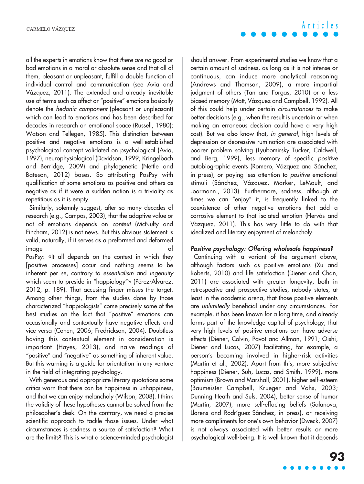all the experts in emotions know that there are no good or bad emotions in a moral or absolute sense and that all of them, pleasant or unpleasant, fulfill a double function of individual control and communication (see Avia and Vázquez, 2011). The extended and already inevitable use of terms such as affect or "positive" emotions basically denote the hedonic component (pleasant or unpleasant) which can lead to emotions and has been described for decades in research on emotional space (Russell, 1980); Watson and Tellegen, 1985). This distinction between positive and negative emotions is a well-established psychological concept validated on psychological (Avia, 1997), neurophysiological (Davidson, 1999; Kringelbach and Berridge, 2009) and phylogenetic (Nettle and Bateson, 2012) bases. So attributing PosPsy with qualification of some emotions as positive and others as negative as if it were a sudden notion is a triviality as repetitious as it is empty.

Similarly, solemnly suggest, after so many decades of research (e.g., Campos, 2003), that the adaptive value or not of emotions depends on context (McNulty and Fincham, 2012) is not news. But this obvious statement is valid, naturally, if it serves as a preformed and deformed image of the contract of the contract of the contract of the contract of the contract of the contract of the co

PosPsy: «It all depends on the context in which they [positive processes] occur and nothing seems to be inherent per se, contrary to essentialism and ingenuity which seem to preside in "happiology"» (Pérez-Alvarez, 2012, p. 189). That accusing finger misses the target. Among other things, from the studies done by those characterized "happiologists" come precisely some of the best studies on the fact that "positive" emotions can occasionally and contextually have negative effects and vice versa (Cohen, 2006; Fredrickson, 2004). Doubtless having this contextual element in consideration is important (Hayes, 2013), and naive readings of "positive" and "negative" as something of inherent value. But this warning is a guide for orientation in any venture in the field of integrating psychology.

With generous and appropriate literary quotations some critics warn that there can be happiness in unhappiness, and that we can enjoy melancholy (Wilson, 2008). I think the validity of these hypotheses cannot be solved from the philosopher's desk. On the contrary, we need a precise scientific approach to tackle those issues. Under what circumstances is sadness a source of satisfaction? What are the limits? This is what a science-minded psychologist should answer. From experimental studies we know that a certain amount of sadness, as long as it is not intense or continuous, can induce more analytical reasoning (Andrews and Thomson, 2009), a more impartial judgment of others (Tan and Forgas, 2010) or a less biased memory (Matt, Vázquez and Campbell, 1992). All of this could help under certain circumstances to make better decisions (e.g., when the result is uncertain or when making an erroneous decision could have a very high cost). But we also know that, in general, high levels of depression or depressive rumination are associated with poorer problem solving (Lyubomirsky Tucker, Caldwell, and Berg, 1999), less memory of specific positive autobiographic events (Romero, Vázquez and Sánchez, in press), or paying less attention to positive emotional stimuli (Sánchez, Vázquez, Marker, LeMoult, and Joormann., 2013). Furthermore, sadness, although at times we can "enjoy" it, is frequently linked to the coexistence of other negative emotions that add a corrosive element to that isolated emotion (Hervás and Vázquez, 2011). This has very little to do with that idealized and literary enjoyment of melancholy.

## Positive psychology: Offering wholesale happiness?

Continuing with a variant of the argument above, although factors such as positive emotions (Xu and Roberts, 2010) and life satisfaction (Diener and Chan, 2011) are associated with greater longevity, both in retrospective and prospective studies, nobody states, at least in the academic arena, that those positive elements are unlimitedly beneficial under any circumstances. For example, it has been known for a long time, and already forms part of the knowledge capital of psychology, that very high levels of positive emotions can have adverse effects (Diener, Colvin, Pavot and Allman, 1991; Oishi, Diener and Lucas, 2007) facilitating, for example, a person's becoming involved in higher-risk activities (Martin et al., 2002). Apart from this, more subjective happiness (Diener, Suh, Lucas, and Smith, 1999), more optimism (Brown and Marshall, 2001), higher self-esteem (Baumeister Campbell, Krueger and Vohs, 2003; Dunning Heath and Suls, 2004), better sense of humor (Martin, 2007), more self-effacing beliefs (Salanova, Llorens and Rodríguez-Sánchez, in press), or receiving more compliments for one's own behavior (Dweck, 2007) is not always associated with better results or more psychological well-being. It is well known that it depends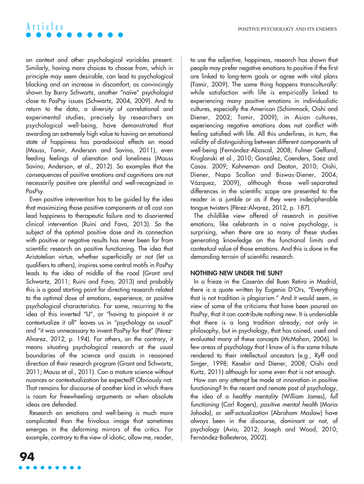on context and other psychological variables present. Similarly, having more choices to choose from, which in principle may seem desirable, can lead to psychological blocking and an increase in discomfort, as convincingly shown by Barry Schwartz, another "naïve" psychologist close to PosPsy issues (Schwartz, 2004, 2009). And to return to the data, a diversity of correlational and experimental studies, precisely by researchers on psychological well-being, have demonstrated that awarding an extremely high value to having an emotional state of happiness has paradoxical effects on mood (Mauss, Tamir, Anderson and Savino, 2011), even feeding feelings of alienation and loneliness (Mauss Savino, Anderson, et al., 2012). So examples that the consequences of positive emotions and cognitions are not necessarily positive are plentiful and well-recognized in PosPsy.

Even positive intervention has to be guided by the idea that maximizing those positive components at all cost can lead happiness to therapeutic failure and to disoriented clinical intervention (Ruini and Fava, 2013). So the subject of the optimal positive dose and its connection with positive or negative results has never been far from scientific research on positive functioning. The idea that Aristotelian virtue, whether superficially or not (let us qualifiers to others), inspires some central motifs in PosPsy leads to the idea of middle of the road (Grant and Schwartz, 2011; Ruini and Fava, 2013) and probably this is a good starting point for directing research related to the optimal dose of emotions, experience, or positive psychological characteristics. For some, recurring to the idea of this inverted "U", or "having to pinpoint it or contextualize it all" leaves us in "psychology as usual" and "it was unnecessary to invent PosPsy for that" (Pérez-Alvarez, 2012, p. 194). For others, on the contrary, it means situating psychological research at the usual boundaries of the science and assists in reasoned direction of their research program (Grant and Schwartz, 2011; Mauss et al., 2011). Can a mature science without nuances or contextualization be expected? Obviously not. That remains for discourse of another kind in which there is room for freewheeling arguments or when absolute ideas are defended.

Research on emotions and well-being is much more complicated than the frivolous image that sometimes emerges in the deforming mirrors of the critics. For example, contrary to the view of idiotic, allow me, reader, to use the adjective, happiness, research has shown that people may prefer negative emotions to positive if the first are linked to long-term goals or agree with vital plans (Tamir, 2009). The same thing happens transculturally: while satisfaction with life is empirically linked to experiencing many positive emotions in individualistic cultures, especially the American (Schimmack, Oishi and Diener, 2002; Tamir, 2009), in Asian cultures, experiencing negative emotions does not conflict with feeling satisfied with life. All this underlines, in turn, the validity of distinguishing between different components of well-being (Fernández-Abascal, 2008; Fulmer Gelfand, Kruglanski et al., 2010; González, Coenders, Saez and Casas. 2009; Kahneman and Deaton, 2010; Oishi, Diener, Napa Scollon and Biswas-Diener, 2004; Vázquez, 2009), although those well-separated differences in the scientific scope are presented to the reader in a jumble or as if they were indecipherable tongue twisters (Pérez-Alvarez, 2012, p. 187).

The childlike view offered of research in positive emotions, like celebrants in a naive psychology, is surprising, when there are so many of these studies generating knowledge on the functional limits and contextual value of those emotions. And this is done in the demanding terrain of scientific research.

### **NOTHING NEW UNDER THE SUN?**

In a frieze in the Caserón del Buen Retiro in Madrid, there is a quote written by Eugenio D'Ors, "Everything that is not tradition is plagiarism." And it would seem, in view of some of the criticisms that have been poured on PosPsy, that it can contribute nothing new. It is undeniable that there is a long tradition already, not only in philosophy, but in psychology, that has coined, used and evaluated many of these concepts (McMahon, 2006). In few areas of psychology that I know of is the same tribute rendered to their intellectual ancestors (e.g., Ryff and Singer, 1998; Kesebir and Diener, 2008; Oishi and Kurtz, 2011) although for some even that is not enough.

How can any attempt be made at innovation in positive functioning? In the recent and remote past of psychology, the idea of a healthy mentality (William James), full functioning (Carl Rogers), positive mental health (Maria Jahoda), or self-actualization (Abraham Maslow) have always been in the discourse, dominant or not, of psychology (Avia, 2012; Joseph and Wood, 2010; Fernández-Ballesteros, 2002).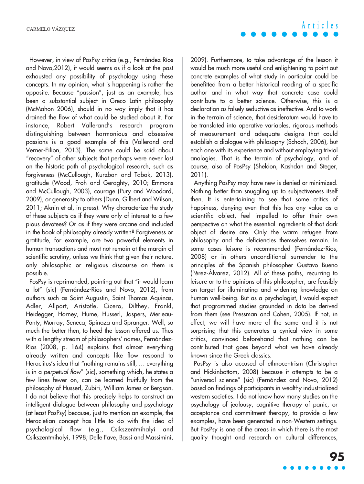However, in view of PosPsy critics (e.g., Fernández-Ríos and Novo,2012), it would seems as if a look at the past exhausted any possibility of psychology using these concepts. In my opinion, what is happening is rather the opposite. Because "passion", just as an example, has been a substantial subject in Greco Latin philosophy (McMahon 2006), should in no way imply that it has drained the flow of what could be studied about it. For instance, Robert Vallerand's research program distinguishing between harmonious and obsessive passions is a good example of this (Vallerand and Verner-Filion, 2013). The same could be said about "recovery" of other subjects that perhaps were never lost on the historic path of psychological research, such as forgiveness (McCullough, Kurzban and Tabak, 2013), gratitude (Wood, Froh and Geraghty, 2010; Emmons and McCullough, 2003), courage (Pury and Woodard, 2009), or generosity to others (Dunn, Gilbert and Wilson, 2011; Aknin et al, in press). Why characterize the study of these subjects as if they were only of interest to a few pious devotees? Or as if they were arcane and included in the book of philosophy already written? Forgiveness or gratitude, for example, are two powerful elements in human transactions and must not remain at the margin of scientific scrutiny, unless we think that given their nature, only philosophic or religious discourse on them is possible.

PosPsy is reprimanded, pointing out that "it would learn a lot" (sic) (Fernández-Ríos and Novo, 2012), from authors such as Saint Augustin, Saint Thomas Aquinas, Adler, Allport, Aristotle, Cicero, Dilthey, Frankl, Heidegger, Horney, Hume, Husserl, Jaspers, Merleau-Ponty, Murray, Seneca, Spinoza and Spranger. Well, so much the better then, to heed the lesson offered us. Thus with a lengthy stream of philosophers' names, Fernández-Ríos (2008, p. 164) explains that almost everything already written and concepts like flow respond to Heraclitus's idea that "nothing remains still, … everything is in a perpetual flow" (sic), something which, he states a few lines fewer on, can be learned fruitfully from the philosophy of Husserl, Zubiri, William James or Bergson. I do not believe that this precisely helps to construct an intelligent dialogue between philosophy and psychology (at least PosPsy) because, just to mention an example, the Heracletian concept has little to do with the idea of psychological flow (e.g., Csikszentmihalyi and Csikszentmihalyi, 1998; Delle Fave, Bassi and Massimini, 2009). Furthermore, to take advantage of the lesson it would be much more useful and enlightening to point out concrete examples of what study in particular could be benefitted from a better historical reading of a specific author and in what way that concrete case could contribute to a better science. Otherwise, this is a declaration as falsely seductive as ineffective. And to work in the terrain of science, that desideratum would have to be translated into operative variables, rigorous methods of measurement and adequate designs that could establish a dialogue with philosophy (Schoch, 2006), but each one with its experience and without employing trivial analogies. That is the terrain of psychology, and of course, also of PosPsy (Sheldon, Kashdan and Steger, 2011).

Anything PosPsy may have new is denied or minimized. Nothing better than snuggling up to subjectiveness itself then. It is entertaining to see that some critics of happiness, denying even that this has any value as a scientific object, feel impelled to offer their own perspective on what the essential ingredients of that dark object of desire are. Only the warm refugee from philosophy and the deficiencies themselves remain. In some cases leisure is recommended (Fernández-Ríos, 2008) or in others unconditional surrender to the principles of the Spanish philosopher Gustavo Bueno (Pérez-Álvarez, 2012). All of these paths, recurring to leisure or to the opinions of this philosopher, are feasibly on target for illuminating and widening knowledge on human well-being. But as a psychologist, I would expect that programmed studies grounded in data be derived from them (see Pressman and Cohen, 2005). If not, in effect, we will have more of the same and it is not surprising that this generates a cynical view in some critics, convinced beforehand that nothing can be contributed that goes beyond what we have already known since the Greek classics.

PosPsy is also accused of ethnocentrism (Christopher and Hickinbottom, 2008) because it attempts to be a "universal science" (sic) (Fernández and Novo, 2012) based on findings of participants in wealthy industrialized western societies. I do not know how many studies on the psychology of jealousy, cognitive therapy of panic, or acceptance and commitment therapy, to provide a few examples, have been generated in non-Western settings. But PosPsy is one of the areas in which there is the most quality thought and research on cultural differences,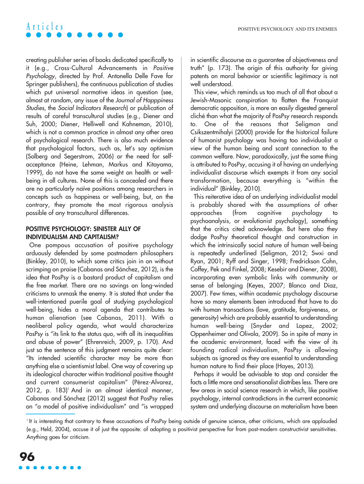creating publisher series of books dedicated specifically to it (e.g., Cross-Cultural Advancements in Positive Psychology, directed by Prof. Antonella Delle Fave for Springer publishers), the continuous publication of studies which put universal normative ideas in question (see, almost at random, any issue of the Journal of Happpiness Studies, the Social Indicators Research) or publication of results of careful transcultural studies (e.g., Diener and Suh, 2000; Diener, Helliwell and Kahneman, 2010), which is not a common practice in almost any other area of psychological research. There is also much evidence that psychological factors, such as, let's say optimism (Solberg and Segerstrom, 2006) or the need for selfacceptance (Heine, Lehman, Markus and Kitayama, 1999), do not have the same weight on health or wellbeing in all cultures. None of this is concealed and there are no particularly naïve positions among researchers in concepts such as happiness or well-being, but, on the contrary, they promote the most rigorous analysis possible of any transcultural differences.

### **POSITIVE PSYCHOLOGY: SINISTER ALLY OF INDIVIDUALISM AND CAPITALISM?**

One pompous accusation of positive psychology arduously defended by some postmodern philosophers (Binkley, 2010), to which some critics join in on without scrimping on praise (Cabanas and Sánchez, 2012), is the idea that PosPsy is a bastard product of capitalism and the free market. There are no savings on long-winded criticisms to unmask the enemy. It is stated that under the well-intentioned puerile goal of studying psychological well-being, hides a moral agenda that contributes to human alienation (see Cabanas, 2011). With a neoliberal policy agenda, what would characterize PosPsy is "its link to the status quo, with all its inequalities and abuse of power" (Ehrenreich, 2009, p. 170). And just so the sentence of this judgment remains quite clear: "Its intended scientific character may be more than anything else a scientismist label. One way of covering up its ideological character within traditional positive thought and current consumerist capitalism" (Pérez-Alvarez, 2012, p. 183)<sup>1</sup> And in an almost identical manner, Cabanas and Sánchez (2012) suggest that PosPsy relies on "a model of positive individualism" and "is wrapped in scientific discourse as a guarantee of objectiveness and truth" (p. 173). The origin of this authority for giving patents on moral behavior or scientific legitimacy is not well understood.

This view, which reminds us too much of all that about a Jewish-Masonic conspiration to flatten the Franquist democratic opposition, is more an easily digested general cliché than what the majority of PosPsy research responds to. One of the reasons that Seligman and Csikszentmihalyi (2000) provide for the historical failure of humanist psychology was having too individualist a view of the human being and scant connection to the common welfare. Now, paradoxically, just the same thing is attributed to PosPsy, accusing it of having an underlying individualist discourse which exempts it from any social transformation, because everything is "within the individual" (Binkley, 2010).

This reiterative idea of an underlying individualist model is probably shared with the assumptions of other approaches (from cognitive psychology to psychoanalysis, or evolutionist psychology), something that the critics cited acknowledge. But here also they dodge PosPsy theoretical thought and construction in which the intrinsically social nature of human well-being is repeatedly underlined (Seligman, 2012; Swxi and Ryan, 2001; Ryff and Singer, 1998; Fredrickson Cohn, Coffey, Pek and Finkel, 2008; Kesebir and Diener, 2008), incorporating even symbolic links with community or sense of belonging (Keyes, 2007; Blanco and Diaz, 2007). Few times, within academic psychology discourse have so many elements been introduced that have to do with human transactions (love, gratitude, forgiveness, or generosity) which are probably essential to understanding human well-being (Snyder and Lopez, 2002; Oppenheimer and Olivola, 2009). So in spite of many in the academic environment, faced with the view of its founding radical individualism, PosPsy is allowing subjects as ignored as they are essential to understanding human nature to find their place (Hayes, 2013).

Perhaps it would be advisable to stop and consider the facts a little more and sensationalist diatribes less. There are few areas in social science research in which, like positive psychology, internal contradictions in the current economic system and underlying discourse on materialism have been

<sup>&</sup>lt;sup>1</sup> It is interesting that contrary to these accusations of PosPsy being outside of genuine science, other criticisms, which are applauded (e.g., Held, 2004), accuse it of just the opposite: of adopting a positivist perspective far from post-modern constructivist sensitivities. Anything goes for criticism.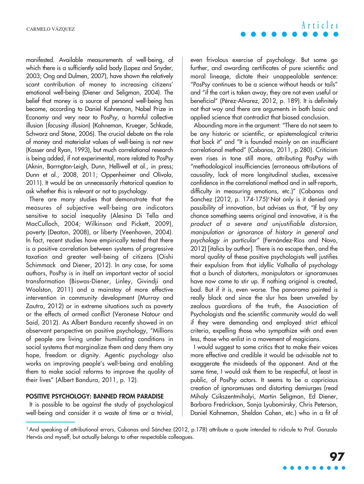manifested. Available measurements of well-being, of which there is a sufficiently solid body (Lopez and Snyder, 2003; Ong and Dulmen, 2007), have shown the relatively scant contribution of money to increasing citizens' emotional well-being (Diener and Seligman, 2004). The belief that money is a source of personal well-being has become, according to Daniel Kahneman, Nobel Prize in Economy and very near to PosPsy, a harmful collective illusion (focusing illusion) (Kahneman, Krueger, Schkade, Schwarz and Stone, 2006). The crucial debate on the role of money and materialist values of well-being is not new (Kasser and Ryan, 1993), but much correlational research is being added, if not experimental, more related to PosPsy (Aknin, Barrngton-Leigh, Dunn, Helliwell et al., in press; Dunn et al., 2008, 2011; Oppenheimer and Olivola, 2011). It would be an unnecessarily rhetorical question to ask whether this is relevant or not to psychology.

There are many studies that demonstrate that the measures of subjective well-being are indicators sensitive to social inequality (Alesina Di Tella and MacCulloch, 2004; Wilkinson and Pickett, 2009), poverty (Deaton, 2008), or liberty (Veenhoven, 2004). In fact, recent studies have empirically tested that there is a positive correlation between systems of progressive taxation and greater well-being of citizens (Oishi Schimmack and Diener, 2012). In any case, for some authors, PosPsy is in itself an important vector of social transformation (Biswas-Diener, Linley, Givindji and Woolston, 2011) and a mainstay of more effective intervention in community development (Murray and Zautra, 2012) or in extreme situations such as poverty or the effects of armed conflict (Veronese Natour and Said, 2012). As Albert Bandura recently showed in an observant perspective on positive psychology, "Millions of people are living under humiliating conditions in social systems that marginalize them and deny them any hope, freedom or dignity. Agentic psychology also works on improving people's well-being and enabling them to make social reforms to improve the quality of their lives" (Albert Bandura, 2011, p. 12).

### **POSITIVE PSYCHOLOGY: BANNED FROM PARADISE**

It is possible to be against the study of psychological well-being and consider it a waste of time or a trivial, **Articles**

even frivolous exercise of psychology. But some go further, and awarding certificates of pure scientific and moral lineage, dictate their unappealable sentence: "PosPsy continues to be a science without heads or tails" and "if the cart is taken away, they are not even useful or beneficial" (Pérez-Alvarez, 2012, p. 189). It is definitely not that way and there are arguments in both basic and applied science that contradict that biased conclusion.

Abounding more in the argument: "There do not seem to be any historic or scientific, or epistemological criteria that back it" and "It is founded mainly on an insufficient correlational method" (Cabanas, 2011, p.280). Criticism even rises in tone still more, attributing PosPsy with "methodological insufficiencies (erroneous attributions of causality, lack of more longitudinal studies, excessive confidence in the correlational method and in self-reports, difficulty in measuring emotions, etc.)" (Cabanas and Sanchez (2012, p. 174-175)<sup>2</sup> Not only is it denied any possibility of innovation, but advises us that, "If by any chance something seems original and innovative, it is the product of a severe and unjustifiable distorsion, manipulation or ignorance of history in general and psychology in particular" (Fernández-Ríos and Novo, 2012) [italics by author]. There is no escape then, and the moral quality of these positive psychologists well justifies their expulsion from that idyllic Valhalla of psychology that a bunch of distorters, manipulators or ignoramuses have now come to stir up. If nothing original is created, bad. But if it is, even worse. The panorama painted is really black and since the slur has been unveiled by zealous guardians of the truth, the Association of Psychologists and the scientific community would do well if they were demanding and employed strict ethical criteria, expelling those who sympathize with and even less, those who enlist in a movement of magicians.

I would suggest to some critics that to make their voices more effective and credible it would be advisable not to exaggerate the misdeeds of the opponent. And at the same time, I would ask them to be respectful, at least in public, of PosPsy actors. It seems to be a capricious creation of ignoramuses and distorting demiurges (read Mihaly Csikszentmihalyi, Martin Seligman, Ed Diener, Barbara Fredrickson, Sonja Lyubomirsky, Chris Peterson, Daniel Kahneman, Sheldon Cohen, etc.) who in a fit of

<sup>2</sup> And speaking of attributional errors, Cabanas and Sánchez (2012, p.178) attribute a quote intended to ridicule to Prof. Gonzalo Hervás and myself, but actually belongs to other respectable colleagues.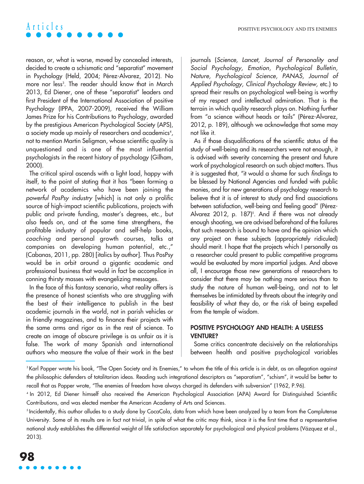reason, or, what is worse, moved by concealed interests, decided to create a schismatic and "separatist" movement in Psychology (Held, 2004; Pérez-Alvarez, 2012). No more nor less<sup>3</sup>. The reader should know that in March 2013, Ed Diener, one of these "separatist" leaders and first President of the International Association of positive Psychology (IPPA, 2007-2009), received the William James Prize for his Contributions to Psychology, awarded by the prestigious American Psychological Society (APS), a society made up mainly ot researchers and academics $^{\scriptscriptstyle 4}$ , not to mention Martin Seligman, whose scientific quality is unquestioned and is one of the most influential psychologists in the recent history of psychology (Gilham, 2000).

The critical spiral ascends with a light load, happy with itself, to the point of stating that it has "been forming a network of academics who have been joining the powerful PosPsy industry [which] is not only a prolific source of high-impact scientific publications, projects with public and private funding, master's degrees, etc., but also feeds on, and at the same time strengthens, the profitable industry of popular and self-help books, coaching and personal growth courses, talks at companies on developing human potential, etc.," (Cabanas, 2011, pp. 280) [italics by author]. Thus PosPsy would be in orbit around a gigantic academic and professional business that would in fact be accomplice in conning thirsty masses with evangelizing messages.

In the face of this fantasy scenario, what reality offers is the presence of honest scientists who are struggling with the best of their intelligence to publish in the best academic journals in the world, not in parish vehicles or in friendly magazines, and to finance their projects with the same arms and rigor as in the rest of science. To create an image of obscure privilege is as unfair as it is false. The work of many Spanish and international authors who measure the value of their work in the best journals (Science, Lancet, Journal of Personality and Social Psychology, Emotion, Psychological Bulletin, Nature, Psychological Science, PANAS, Journal of Applied Psychology, Clinical Psychology Review, etc.) to spread their results on psychological well-being is worthy of my respect and intellectual admiration. That is the terrain in which quality research plays on. Nothing further from "a science without heads or tails" (Pérez-Alvarez, 2012, p. 189), although we acknowledge that some may not like it.

As if those disqualifications of the scientific status of the study of well-being and its researchers were not enough, it is advised with severity concerning the present and future work of psychological research on such abject matters. Thus it is suggested that, "it would a shame for such findings to be blessed by National Agencies and funded with public monies, and for new generations of psychology research to believe that it is of interest to study and find associations between satisfaction, well-being and feeling good" (Pérez-Alvarez 2012, p. 187)<sup>5</sup>. And it there was not already enough shooting, we are advised beforehand of the failures that such research is bound to have and the opinion which any project on these subjects (appropriately ridiculed) should merit. I hope that the projects which I personally as a researcher could present to public competitive programs would be evaluated by more impartial judges. And above all, I encourage those new generations of researchers to consider that there may be nothing more serious than to study the nature of human well-being, and not to let themselves be intimidated by threats about the integrity and feasibility of what they do, or the risk of being expelled from the temple of wisdom.

### **POSITIVE PSYCHOLOGY AND HEALTH: A USELESS VENTURE?**

Some critics concentrate decisively on the relationships between health and positive psychological variables

<sup>&</sup>lt;sup>3</sup> Karl Popper wrote his book, "The Open Society and its Enemies," to whom the title of this article is in debt, as an allegation against the philosophic defenders of totalitarian ideas. Reading such integrational descriptors as "separatism", "schism", it would be better to recall that as Popper wrote, "The enemies of freedom have always charged its defenders with subversion" (1962, P.96).

<sup>4</sup> In 2012, Ed Diener himself also received the American Psychological Association (APA) Award for Distinguished Scientific Contributions, and was elected member the American Academy of Arts and Sciences.

<sup>&</sup>lt;sup>5</sup> Incidentally, this author alludes to a study done by CocaCola, data from which have been analyzed by a team from the Complutense University. Some of its results are in fact not trivial, in spite of what the critic may think, since it is the first time that a representative national study establishes the differential weight of life satisfaction separately for psychological and physical problems (Vázquez et al., 2013).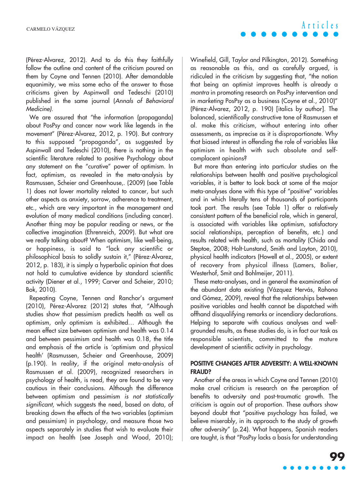(Pérez-Alvarez, 2012). And to do this they faithfully follow the outline and content of the criticism poured on them by Coyne and Tennen (2010). After demandable equanimity, we miss some echo of the answer to those criticisms given by Aspinwall and Tedeschi (2010) published in the same journal (Annals of Behavioral Medicine).

We are assured that "the information (propaganda) about PosPsy and cancer now work like legends in the movement" (Pérez-Alvarez, 2012, p. 190). But contrary to this supposed "propaganda", as suggested by Aspinwall and Tedeschi (2010), there is nothing in the scientific literature related to positive Psychology about any statement on the "curative" power of optimism. In fact, optimism, as revealed in the meta-analysis by Rasmussen, Scheier and Greenhouse,. (2009) (see Table 1) does not lower mortality related to cancer, but such other aspects as anxiety, sorrow, adherence to treatment, etc., which are very important in the management and evolution of many medical conditions (including cancer). Another thing may be popular reading or news, or the collective imagination (Ehrenreich, 2009). But what are we really talking about? When optimism, like well-being, or happiness, is said to "lack any scientific or philosophical basis to solidly sustain it," (Pérez-Alvarez, 2012, p. 183), it is simply a hyperbolic opinion that does not hold to cumulative evidence by standard scientific activity (Diener et al., 1999; Carver and Scheier, 2010; Bok, 2010).

Repeating Coyne, Tennen and Ranchor's argument (2010), Pérez-Alvarez (2012) states that, "Although studies show that pessimism predicts health as well as optimism, only optimism is exhibited… Although the mean effect size between optimism and health was 0.14 and between pessimism and health was 0.18, the title and emphasis of the article is 'optimism and physical health' (Rasmussen, Scheier and Greenhouse, 2009) (p.190). In reality, if the original meta-analysis of Rasmussen et al. (2009), recognized researchers in psychology of health, is read, they are found to be very cautious in their conclusions. Although the difference between optimism and pessimism is not statistically significant, which suggests the need, based on data, of breaking down the effects of the two variables (optimism and pessimism) in psychology, and measure those two aspects separately in studies that wish to evaluate their impact on health (see Joseph and Wood, 2010); Winefield, Gill, Taylor and Pilkington, 2012). Something as reasonable as this, and as carefully argued, is ridiculed in the criticism by suggesting that, "the notion that being an optimist improves health is already a mantra in promoting research on PosPsy intervention and in marketing PosPsy as a business (Coyne et al., 2010)" (Pérez-Alvarez, 2012, p. 190) [italics by author]. The balanced, scientifically constructive tone of Rasmussen et al. make this criticism, without entering into other assessments, as imprecise as it is disproportionate. Why that biased interest in offending the role of variables like optimism in health with such absolute and selfcomplacent opinions?

But more than entering into particular studies on the relationships between health and positive psychological variables, it is better to look back at some of the major meta-analyses done with this type of "positive" variables and in which literally tens of thousands of participants took part. The results (see Table 1) offer a relatively consistent pattern of the beneficial role, which in general, is associated with variables like optimism, satisfactory social relationships, perception of benefits, etc.) and results related with health, such as mortality (Chida and Steptoe, 2008; Holt-Lunstand, Smith and Layton, 2010), physical health indicators (Howell et al., 2005), or extent of recovery from physical illness (Lamers, Bolier, Westerhof, Smit and Bohlmeijer, 2011).

These meta-analyses, and in general the examination of the abundant data existing (Vázquez Hervás, Rahona and Gómez, 2009), reveal that the relationships between positive variables and health cannot be dispatched with offhand disqualifying remarks or incendiary declarations. Helping to separate with cautious analyses and wellgrounded results, as these studies do, is in fact our task as responsible scientists, committed to the mature development of scientific activity in psychology.

### **POSITIVE CHANGES AFTER ADVERSITY: A WELL-KNOWN FRAUD?**

Another of the areas in which Coyne and Tennen (2010) make cruel criticism is research on the perception of benefits to adversity and post-traumatic growth. The criticism is again out of proportion. These authors show beyond doubt that "positive psychology has failed, we believe miserably, in its approach to the study of growth after adversity" (p.24). What happens, Spanish readers are taught, is that "PosPsy lacks a basis for understanding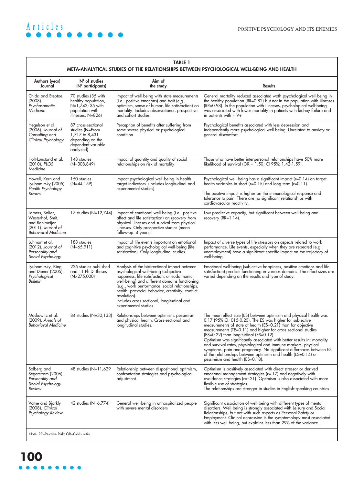### **TABLE 1**

#### **META-ANALYTICAL STUDIES OF THE RELATIONSHIPS BETWEEN PSYCHOLOGICAL WELL-BEING AND HEALTH Authors (year) Journal** Chida and Steptoe (2008). Psychosomatic Medicine Hegelson et al. (2006). Journal of Consulting and Clinical Psychology Holt-Lunstand et al. (2010). PLOS Medicine Howell, Kern and Lyubomirsky (2005) Health Psychology Review Lamers, Bolier, Westerhof, Smit, and Bohlmeijer (2011). Journal of Behavioral Medicine Luhman et al. (2012). Journal of Personality and Social Psychology Lyubomirsky, King and Diener (2005). Psychological Bulletin Moskowitz et al. (2009). Annals of Behavioral Medicine Solberg and Segerstrom (2006). Personality and Social Psychology Review Vatne and Bjorkly (2008). Clinical Psychology Review **Nº of studies (Nº participants)** 70 studies (35 with healthy population, N=1,742; 35 with population with illnesses, N=826) 87 cross-sectional studies (N=From 1,717 to 8,431 depending on the dependent variable analyzed) 148 studies (N=308,849) 150 studies (N=44,159) 17 studies (N=12,744) 188 studies (N=65,911) 225 studies published and 11 Ph.D. theses (N>275,000) 84 studies (N=30,133) Relationships between optimism, pessimism 48 studies (N=11,629 42 studies (N=6,774) **Aim of the study** Impact of well-being with state measurements (i.e., positive emotions) and trait (e.g., optimism, sense of humor, life satisfaction) on mortality. Includes observational, prospective and cohort studies. Perception of benefits after suffering from some severe physical or psychological condition Impact of quantity and quality of social relationships on risk of mortality. Impact psychological well-being in health target indicators. (Includes longitudinal and experimental studies). Impact of emotional well-being (i.e., positive affect and life satisfaction) on recovery from physical illnesses and survival from physical illnesses. Only prospective studies (mean follow-up: 4 years). Impact of life events important on emotional and cognitive psychological well-being (life satisfaction). Only longitudinal studies. Analysis of the bidirectional impact between psychological well-being (subjective happiness, life satisfaction, or eudaimonic well-being) and different domains functioning (e.g., work performance, social relationships, health, prosocial behavior, creativity, conflict resolution). Includes cross-sectional, longitudinal and experimental studies. and physical health. Cross-sectional and longitudinal studies. Relationship between dispositional optimism, confrontation strategies and psychological adjustment. General well-being in unhospitalized people with severe mental disorders **Results** General mortality reduced associated woth psychological well-being in the healthy population (RR=0.82) but not in the population with illnesses (RR=0.98). In the population with illnesses, psychological well-being was associated with lower mortality in patients with kidney failure and in patients with HIV+ Psychological benefits associated with less depression and independently more psychological well-being. Unrelated to anxiety or general discomfort. Those who have better interpersonal relationships have 50% more likelihood of survival (OR = 1.50; CI 95%: 1.42-1.59). Psychological well-being has a significant impact (r=0.14) on target health variables in short (r=0.15) and long term (r=0.11). The positive impact is higher on the immunological response and tolerance to pain. There are no significant relationships with cardiovascular reactivity. Low predictive capacity, but significant between well-being and recovery  $(RR=1.14)$ . Impact of diverse types of life stressors on aspects related to work performance. Life events, especially when they are repeated (e.g.: unemployment) have a significant specific impact on the trajectory of well-being. Emotional well-being (subjective happiness, positive emotions and life satisfaction) predicts functioning in various domains. The effect sizes are varied depending on the results and type of study. The mean effect size (ES) between optimism and physical health was 0.17 (95% CI: 015-0.20). The ES was higher for subjective measurements of state of health (ES=0.21) than for objective measurements (TE=0.11) and higher for cross-sectional studies (ES=0.22) than longitudinal (ES=0.12). Optimism was significantly associated with better results in: mortality and survival rates, physiological and immune markers, physical symptoms, pain and pregnancy. No significant differences between ES of the relationships between optimism and health (ES=0.14) or pessimism and health (ES=0.18). Optimism is positively associated with direct stressor or derived emotional management strategies (r=.17) and negatively with avoidance strategies (r=-.21). Optimism is also associated with more flexible use of strategies. The relationships are stronger in studies in English-speaking countries. Significant association of well-being with different types of mental disorders. Well-being is strongly associated with Leisure and Social Relationships, but not with such aspects as Personal Safety or Employment. Clinical depression is the symptomology most associated with less well-being, but explains less than 29% of the variance. Note: RR=Relative Risk; OR=Odds ratio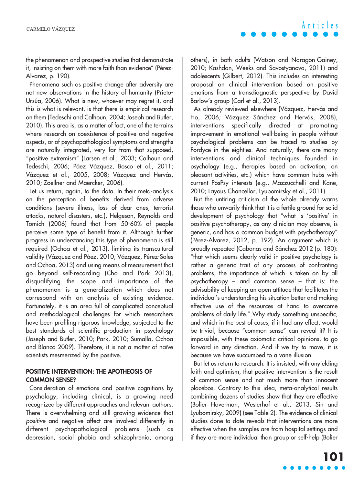the phenomenon and prospective studies that demonstrate it, insisting on them with more faith than evidence" (Pérez-Alvarez, p. 190).

Phenomena such as positive change after adversity are not new observations in the history of humanity (Prieto-Ursúa, 2006). What is new, whoever may regret it, and this is what is relevant, is that there is empirical research on them (Tedeschi and Calhoun, 2004; Joseph and Butler, 2010). This area is, as a matter of fact, one of the terrains where research on coexistence of positive and negative aspects, or of psychopathological symptoms and strengths are naturally integrated, very far from that supposed, "positive extremism" (Larsen et al., 2003; Calhoun and Tedeschi, 2006; Páez Vázquez, Bosco et al., 2011; Vázquez et al., 2005, 2008; Vázquez and Hervás, 2010; Zoellner and Maercker, 2006).

Let us return, again, to the data. In their meta-analysis on the perception of benefits derived from adverse conditions (severe illness, loss of dear ones, terrorist attacks, natural disasters, etc.), Helgeson, Reynolds and Tomich (2006) found that from 50-60% of people perceive some type of benefit from it. Although further progress in understanding this type of phenomena is still required (Ochoa et al., 2013), limiting its transcultural validity (Vázquez and Páez, 2010; Vázquez, Pérez-Sales and Ochoa, 2013) and using means of measurement that go beyond self-recording (Cho and Park 2013), disqualifying the scope and importance of the phenomenon is a generalization which does not correspond with an analysis of existing evidence. Fortunately, it is an area full of complicated conceptual and methodological challenges for which researchers have been profiling rigorous knowledge, subjected to the best standards of scientific production in psychology (Joseph and Butler, 2010; Park, 2010; Sumalla, Ochoa and Blanco 2009). Therefore, it is not a matter of naïve scientists mesmerized by the positive.

### **POSITIVE INTERVENTION: THE APOTHEOSIS OF COMMON SENSE?**

Consideration of emotions and positive cognitions by psychology, including clinical, is a growing need recognized by different approaches and relevant authors. There is overwhelming and still growing evidence that positive and negative affect are involved differently in different psychopathological problems (such as depression, social phobia and schizophrenia, among others), in both adults (Watson and Naragon-Gainey, 2010; Kashdan, Weeks and Savostyanova, 2011) and adolescents (Gilbert, 2012). This includes an interesting proposal on clinical intervention based on positive emotions from a transdiagnostic perspective by David Barlow's group (Carl et al., 2013).

As already reviewed elsewhere (Vázquez, Hervás and Ho, 2006; Vázquez Sánchez and Hervás, 2008), interventions specifically directed at promoting improvement in emotional well-being in people without psychological problems can be traced to studies by Fordyce in the eighties. And naturally, there are many interventions and clinical techniques founded in psychology (e.g., therapies based on activation, on pleasant activities, etc.) which have common hubs with current PosPsy interests (e.g., Mazzucchelli and Kane, 2010; Layous Chancellor, Lyubomirsky et al., 2011).

But the untiring criticism of the whole already warns those who unwarily think that it is a fertile ground for solid development of psychology that "what is 'positive' in positive psychotherapy, as any clinician may observe, is generic, and has a common budget with psychotherapy" (Pérez-Alvarez, 2012, p. 192). An argument which is proudly repeated (Cabanas and Sánchez 2012 (p. 180): "that which seems clearly valid in positive psychology is rather a generic trait of any process of confronting problems, the importance of which is taken on by all psychotherapy – and common sense – that is: the advisability of keeping an open attitude that facilitates the individual's understanding his situation better and making effective use of the resources at hand to overcome problems of daily life." Why study something unspecific, and which in the best of cases, if it had any effect, would be trivial, because "common sense" can reveal it? It is impossible, with these axiomatic critical opinions, to go forward in any direction. And if we try to move, it is because we have succumbed to a vane illusion.

But let us return to research. It is insisted, with unyielding faith and optimism, that positive intervention is the result of common sense and not much more than innocent placebos. Contrary to this idea, meta-analytical results combining dozens of studies show that they are effective (Bolier Haverman, Westerhof et al., 2013; Sin and Lyubomirsky, 2009) (see Table 2). The evidence of clinical studies done to date reveals that interventions are more effective when the samples are from hospital settings and if they are more individual than group or self-help (Bolier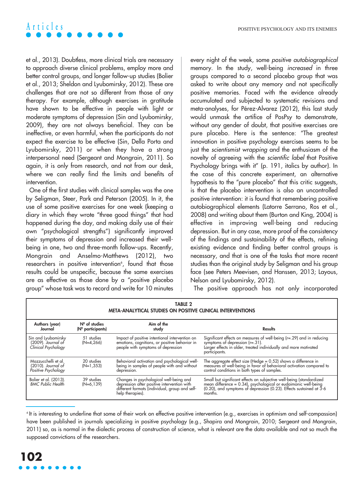et al., 2013). Doubtless, more clinical trials are necessary to approach diverse clinical problems, employ more and better control groups, and longer follow-up studies (Bolier et al., 2013; Sheldon and Lyubomirsky, 2012). These are challenges that are not so different from those of any therapy. For example, although exercises in gratitude have shown to be effective in people with light or moderate symptoms of depression (Sin and Lyubomirsky, 2009), they are not always beneficial. They can be ineffective, or even harmful, when the participants do not expect the exercise to be effective (Sin, Della Porta and Lyubomirsky, 2011) or when they have a strong interpersonal need (Sergeant and Mongrain, 2011). So again, it is only from research, and not from our desk, where we can really find the limits and benefits of intervention.

One of the first studies with clinical samples was the one by Seligman, Steer, Park and Peterson (2005). In it, the use of some positive exercises for one week (keeping a diary in which they wrote "three good things" that had happened during the day, and making daily use of their own "psychological strengths") significantly improved their symptoms of depression and increased their wellbeing in one, two and three-month follow-ups. Recently, Mongrain and Anselmo-Matthews (2012), two researchers in positive intervention<sup>6</sup>, found that those results could be unspecific, because the same exercises are as effective as those done by a "positive placebo group" whose task was to record and write for 10 minutes every night of the week, some positive autobiographical memory. In the study, well-being increased in three groups compared to a second placebo group that was asked to write about any memory and not specifically positive memories. Faced with the evidence already accumulated and subjected to systematic revisions and meta-analyses, for Pérez-Alvarez (2012), this last study would unmask the artifice of PosPsy to demonstrate, without any gender of doubt, that positive exercises are pure placebo. Here is the sentence: "The greatest innovation in positive psychology exercises seems to be just the scientismist wrapping and the enthusiasm of the novelty of agreeing with the scientific label that Positive Psychology brings with it" (p. 191, italics by author). In the case of this concrete experiment, an alternative hypothesis to the "pure placebo" that this critic suggests, is that the placebo intervention is also an uncontrolled positive intervention: it is found that remembering positive autobiographical elements (Latorre Serrano, Ros et al., 2008) and writing about them (Burton and King, 2004) is effective in improving well-being and reducing depression. But in any case, more proof of the consistency of the findings and sustainability of the effects, refining existing evidence and finding better control groups is necessary, and that is one of the tasks that more recent studies than the original study by Seligman and his group face (see Peters Meevisen, and Hanssen, 2013; Layous, Nelson and Lyubomirsky, 2012).

The positive approach has not only incorporated

| Table 2<br><b>META-ANALYTICAL STUDIES ON POSITIVE CLINICAL INTERVENTIONS</b> |                                        |                                                                                                                                                              |                                                                                                                                                                                                                           |
|------------------------------------------------------------------------------|----------------------------------------|--------------------------------------------------------------------------------------------------------------------------------------------------------------|---------------------------------------------------------------------------------------------------------------------------------------------------------------------------------------------------------------------------|
| Authors (year)<br>Journal                                                    | $N°$ of studies<br>$(N°$ participants) | Aim of the<br>study                                                                                                                                          | <b>Results</b>                                                                                                                                                                                                            |
| Sin and Lyubomirsky<br>$(2009)$ . Journal of<br>Clinical Psychology          | 51 studies<br>$(N=4,266)$              | Impact of positive intentional intervention on<br>emotions, cognitions, or positive behavior in<br>people with symptoms of depression                        | Significant effects on measures of well-being (r=.29) and in reducing<br>symptoms of depression $(r=.31)$ .<br>Larger effects in older, treated individually and more motivated<br>participants.                          |
| Mazzucchelli et al.<br>$(2010)$ . Journal of<br>Positive Psychology          | 20 studies<br>$(N=1,353)$              | Behavioral activation and psychological well-<br>being in samples of people with and without<br>depression.                                                  | The aggregate effect size (Hedge = $0.52$ ) shows a difference in<br>measures of well-being in favor of behavioral activation compared to<br>control conditions in both types of samples.                                 |
| Bolier et al. (2013).<br><b>BMC Public Health</b>                            | 39 studies<br>$(N=6.139)$              | Changes in psychological well-being and<br>depression after positive intervention with<br>different formats (individual, group and self-<br>help therapies). | Small but significant effects on subjective well-being (standardized<br>mean difference = 0.34), psychological or eudaimonic well-being<br>(0.20), and symptoms of depression (0.23). Effects sustained at 3-6<br>months. |

<sup>6</sup> It is interesting to underline that some of their work on effective positive intervention (e.g., exercises in optimism and self-compassion) have been published in journals specializing in positive psychology (e.g., Shapira and Mongrain, 2010; Sergeant and Mongrain, 2011) so, as is normal in the dialectic process of construction of science, what is relevant are the data available and not so much the supposed convictions of the researchers.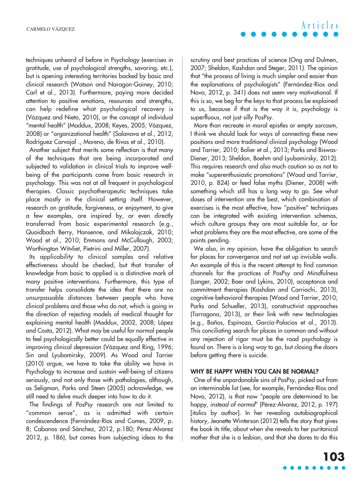techniques unheard of before in Psychology (exercises in gratitude, use of psychological strengths, savoring, etc.), but is opening interesting territories backed by basic and clinical research (Watson and Naragon-Gainey, 2010; Carl et al., 2013). Furthermore, paying more decided attention to positive emotions, resources and strengths, can help redefine what psychological recovery is (Vázquez and Nieto, 2010), or the concept of individual "mental health" (Maddux, 2008; Keyes, 2005; Vázquez, 2008) or "organizational health" (Salanova et al., 2012; Rodríguez Carvajal ., Moreno, de Rivas et al., 2010).

Another subject that merits some reflection is that many of the techniques that are being incorporated and subjected to validation in clinical trials to improve wellbeing of the participants come from basic research in psychology. This was not at all frequent in psychological therapies. Classic psychotherapeutic techniques take place mostly in the clinical setting itself. However, research on gratitude, forgiveness, or enjoyment, to give a few examples, are inspired by, or even directly transferred from basic experimental research (e.g., Quoidbach Berry, Hansenne, and Mikolajczak, 2010; Wood et al., 2010; Emmons and McCullough, 2003; Worthington Witvliet, Pietrini and Miller, 2007).

Its applicability to clinical samples and relative effectiveness should be checked, but that transfer of knowledge from basic to applied is a distinctive mark of many positive interventions. Furthermore, this type of transfer helps consolidate the idea that there are no unsurpassable distances between people who have clinical problems and those who do not, which is going in the direction of rejecting models of medical thought for explaining mental health (Maddux, 2002, 2008; López and Costa, 2012). What may be useful for normal people to feel psychologically better could be equally effective in improving clinical depression (Vázquez and Ring, 1996; Sin and Lyubomirsky, 2009). As Wood and Tarrier (2010) argue, we have to take the ability we have in Psychology to increase and sustain well-being of citizens seriously, and not only those with pathologies, although, as Seligman, Parks and Steen (2005) acknowledge, we still need to delve much deeper into how to do it.

The findings of PosPsy research are not limited to "common sense", as is admitted with certain condescendence (Fernández-Ríos and Comes, 2009, p. 8; Cabanas and Sánchez, 2012, p.180; Pérez-Alvarez 2012, p. 186), but comes from subjecting ideas to the **Articles**

scrutiny and best practices of science (Ong and Dulmen, 2007; Sheldon, Kashdan and Steger, 2011). The opinion that "the process of living is much simpler and easier than the explanations of psychologists" (Fernández-Ríos and Novo, 2012, p. 341) does not seem very motivational. If this is so, we beg for the keys to that process be explained to us, because if that is the way it is, psychology is superfluous, not just silly PosPsy.

More than recreate in moral epistles or empty sarcasm, I think we should look for ways of connecting these new positions and more traditional clinical psychology (Wood and Tarrier, 2010; Bolier et al., 2013; Parks and Biswas-Diener, 2013; Sheldon, Boehm and Lyubomirsky, 2012). This requires research and also much caution so as not to make "superenthusiastic promotions" (Wood and Tarrier, 2010, p. 824) or feed false myths (Diener, 2008) with something which still has a long way to go. See what doses of intervention are the best, which combination of exercises is the most effective, how "positive" techniques can be integrated with existing intervention schemas, which culture groups they are most suitable for, or for what problems they are the most effective, are some of the points pending.

We also, in my opinion, have the obligation to search for places for convergence and not set up invisible walls. An example of this is the recent attempt to find common channels for the practices of PosPsy and Mindfulness (Langer, 2002; Baer and Lykins, 2010), acceptance and commitment therapies (Kashdan and Carriochi, 2013), cognitive-behavioral therapies (Wood and Tarrier, 2010; Parks and Schueller, 2013), constructivist approaches (Tarragona, 2013), or their link with new technologies (e.g., Baños, Espinoza, García-Palacios et al., 2013). This conciliating search for places in common and without any rejection of rigor must be the road psychology is found on. There is a long way to go, but closing the doors before getting there is suicide.

### **WHY BE HAPPY WHEN YOU CAN BE NORMAL?**

One of the unpardonable sins of PosPsy, picked out from an interminable list (see, for example, Fernández-Ríos and Novo, 2012), is that now "people are determined to be happy, instead of normal" (Pérez-Alvarez, 2012, p. 197) [italics by author]. In her revealing autobiographical history, Jeanette Winterson (2012) tells the story that gives the book its title, about when she reveals to her puritanical mother that she is a lesbian, and that she dares to do this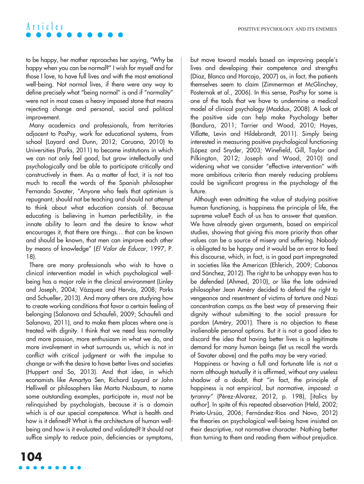to be happy, her mother reproaches her saying, "Why be happy when you can be normal?" I wish for myself and for those I love, to have full lives and with the most emotional well-being. Not normal lives, if there were any way to define precisely what "being normal" is and if "normality" were not in most cases a heavy imposed stone that means rejecting change and personal, social and political improvement.

Many academics and professionals, from territories adjacent to PosPsy, work for educational systems, from school (Layard and Dunn, 2012; Caruana, 2010) to Universities (Parks, 2011) to become institutions in which we can not only feel good, but grow intellectually and psychologically and be able to participate critically and constructively in them. As a matter of fact, it is not too much to recall the words of the Spanish philosopher Fernando Savater, "Anyone who feels that optimism is repugnant, should not be teaching and should not attempt to think about what education consists of. Because educating is believing in human perfectibility, in the innate ability to learn and the desire to know what encourages it, that there are things… that can be known and should be known, that men can improve each other by means of knowledge" (El Valor de Educar, 1997, P. 18).

There are many professionals who wish to have a clinical intervention model in which psychological wellbeing has a major role in the clinical environment (Linley and Joseph, 2004; Vázquez and Hervás, 2008; Parks and Schueller, 2013). And many others are studying how to create working conditions that favor a certain feeling of belonging (Salanova and Schaufeli, 2009; Schaufeli and Salanova, 2011), and to make them places where one is treated with dignity. I think that we need less normality and more passion, more enthusiasm in what we do, and more involvement in what surrounds us, which is not in conflict with critical judgment or with the impulse to change or with the desire to have better lives and societies (Huppert and So, 2013). And that idea, in which economists like Amartya Sen, Richard Layard or John Helliwell or philosophers like Marta Nusbaum, to name some outstanding examples, participate in, must not be relinquished by psychologists, because it is a domain which is of our special competence. What is health and how is it defined? What is the architecture of human wellbeing and how is it evaluated and validated? It should not suffice simply to reduce pain, deficiencies or symptoms, but move toward models based on improving people's lives and developing their competence and strengths (Díaz, Blanco and Horcajo, 2007) as, in fact, the patients themselves seem to claim (Zimmerman et McGlinchey, Posternak et al., 2006). In this sense, PosPsy for some is one of the tools that we have to undermine a medical model of clinical psychology (Maddux, 2008). A look at the positive side can help make Psychology better (Bandura, 2011; Tarrier and Wood, 2010; Hayes, Villatte, Levin and Hildebrandt, 2011). Simply being interested in measuring positive psychological functioning (López and Snyder, 2003; Winefield, Gill, Taylor and Pilkington, 2012; Joseph and Wood, 2010) and widening what we consider "effective intervention" with more ambitious criteria than merely reducing problems could be significant progress in the psychology of the future.

Although even admitting the value of studying positive human functioning, is happiness the principle of life, the supreme value? Each of us has to answer that question. We have already given arguments, based on empirical studies, showing that giving this more priority than other values can be a source of misery and suffering. Nobody is obligated to be happy and it would be an error to feed this discourse, which, in fact, is in good part impregnated in societies like the American (Ehlerich, 2009; Cabanas and Sánchez, 2012). The right to be unhappy even has to be defended (Ahmed, 2010), or like the late admired philosopher Jean Améry decided to defend the right to vengeance and resentment of victims of torture and Nazi concentration camps as the best way of preserving their dignity without submitting to the social pressure for pardon (Améry, 2001). There is no objection to these inalienable personal options. But it is not a good idea to discard the idea that having better lives is a legitimate demand for many human beings (let us recall the words of Savater above) and the paths may be very varied.

Happiness or having a full and fortunate life is not a norm although textually it is affirmed, without any useless shadow of a doubt, that "in fact, the principle of happiness is not empirical, but normative, imposed: a tyranny" (Pérez-Alvarez, 2012, p. 198), [italics by author]. In spite of this repeated observation (Held, 2002; Prieto-Ursúa, 2006; Fernández-Ríos and Novo, 2012) the theories on psychological well-being have insisted on their descriptive, not normative character. Nothing better than turning to them and reading them without prejudice.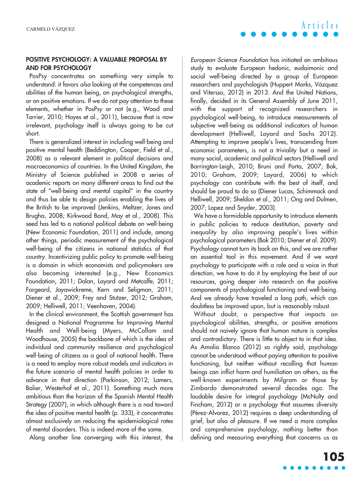### **POSITIVE PSYCHOLOGY: A VALUABLE PROPOSAL BY AND FOR PSYCHOLOGY**

PosPsy concentrates on something very simple to understand: it favors also looking at the competences and abilities of the human being, on psychological strengths, or on positive emotions. If we do not pay attention to these elements, whether in PosPsy or not (e.g., Wood and Tarrier, 2010; Hayes et al., 2011), because that is now irrelevant, psychology itself is always going to be cut short.

There is generalized interest in including well-being and positive mental health (Beddington, Cooper, Field et al., 2008) as a relevant element in political decisions and macroeconomics of countries. In the United Kingdom, the Ministry of Science published in 2008 a series of academic reports on many different areas to find out the state of "well-being and mental capital" in the country and thus be able to design policies enabling the lives of the British to be improved (Jenkins, Meltzer, Jones and Brugha, 2008; Kirkwood Bond, May et al., 2008). This seed has led to a national political debate on well-being (New Economic Foundation, 2011) and include, among other things, periodic measurement of the psychological well-being of the citizens in national statistics of that country. Incentivizing public policy to promote well-being is a domain in which economists and policymakers are also becoming interested (e.g., New Economics Foundation, 2011; Dolan, Layard and Metcalfe, 2011; Forgeard, Jayawickreme, Kern and Seligman, 2011; Diener et al., 2009; Frey and Stutzer, 2012; Graham, 2009; Helliwell, 2011; Veenhoven, 2004).

In the clinical environment, the Scottish government has designed a National Programme for Improving Mental Health and Well-being (Myers, McCollam and Woodhouse, 2005) the backbone of which is the idea of individual and community resilience and psychological well-being of citizens as a goal of national health. There is a need to employ more robust models and indicators in the future scenario of mental health policies in order to advance in that direction (Parkinson, 2012; Lamers, Bolier, Westerhof et al., 2011). Something much more ambitious than the horizon of the Spanish Mental Health Strategy (2007), in which although there is a nod toward the idea of positive mental health (p. 333), it concentrates almost exclusively on reducing the epidemiological rates of mental disorders. This is indeed more of the same.

Along another line converging with this interest, the

European Science Foundation has initiated an ambitious study to evaluate European hedonic, eudaimonic and social well-being directed by a group of European researchers and psychologists (Huppert Marks, Vázquez and Vitersso, 2012) in 2013. And the United Nations, finally, decided in its General Assembly of June 2011, with the support of recognized researchers in psychological well-being, to introduce measurements of subjective well-being as additional indicators of human development (Helliwell, Layard and Sachs 2012). Attempting to improve people's lives, transcending from economic parameters, is not a triviality but a need in many social, academic and political sectors (Helliwell and Barrington-Leigh, 2010; Bruni and Porta, 2007; Bok, 2010; Graham, 2009; Layard, 2006) to which psychology can contribute with the best of itself, and should be proud to do so (Diener Lucas, Schimmack and Helliwell, 2009; Sheldon et al., 2011; Ong and Dulmen, 2007; Lopez and Snyder, 2003).

We have a formidable opportunity to introduce elements in public policies to reduce destitution, poverty and inequality by also improving people's lives within psychological parameters (Bok 2010; Diener et al. 2009). Psychology cannot turn its back on this, and we are rather an essential tool in this movement. And if we want psychology to participate with a role and a voice in that direction, we have to do it by employing the best of our resources, going deeper into research on the positive components of psychological functioning and well-being. And we already have traveled a long path, which can doubtless be improved upon, but is reasonably robust.

Without doubt, a perspective that impacts on psychological abilities, strengths, or positive emotions should not naively ignore that human nature is complex and contradictory. There is little to object to in that idea. As Amalio Blanco (2012) so rightly said, psychology cannot be understood without paying attention to positive functioning, but neither without recalling that human beings can inflict harm and humiliation on others, as the well-known experiments by Milgram or those by Zimbardo demonstrated several decades ago. The laudable desire for integral psychology (McNulty and Fincham, 2012) or a psychology that assumes diversity (Pérez-Alvarez, 2012) requires a deep understanding of grief, but also of pleasure. If we need a more complex and comprehensive psychology, nothing better than defining and measuring everything that concerns us as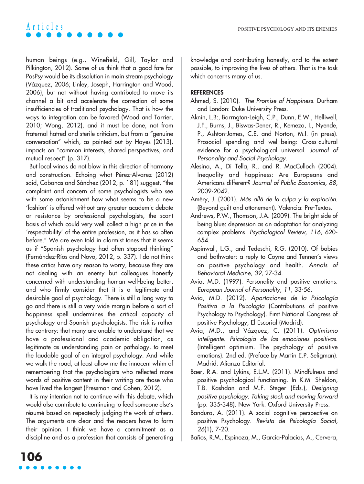human beings (e.g., Winefield, Gill, Taylor and Pilkington, 2012). Some of us think that a good fate for PosPsy would be its dissolution in main stream psychology (Vázquez, 2006; Linley, Joseph, Harrington and Wood, 2006), but not without having contributed to move its channel a bit and accelerate the correction of some insufficiencies of traditional psychology. That is how the ways to integration can be favored (Wood and Tarrier, 2010; Wong, 2012), and it must be done, not from fraternal hatred and sterile criticism, but from a "genuine conversation" which, as pointed out by Hayes (2013), impacts on "common interests, shared perspectives, and mutual respect" (p. 317).

But local winds do not blow in this direction of harmony and construction. Echoing what Pérez-Alvarez (2012) said, Cabanas and Sánchez (2012, p. 181) suggest, "the complaint and concern of some psychologists who see with some astonishment how what seems to be a new 'fashion' is offered without any greater academic debate or resistance by professional psychologists, the scant basis of which could very well collect a high price in the 'respectability' of the entire profession, as it has so often before." We are even told in alarmist tones that it seems as if "Spanish psychology had often stopped thinking" (Fernández-Ríos and Novo, 2012, p. 337). I do not think these critics have any reason to worry, because they are not dealing with an enemy but colleagues honestly concerned with understanding human well-being better, and who firmly consider that it is a legitimate and desirable goal of psychology. There is still a long way to go and there is still a very wide margin before a sort of happiness spell undermines the critical capacity of psychology and Spanish psychologists. The risk is rather the contrary: that many are unable to understand that we have a professional and academic obligation, as legitimate as understanding pain or pathology, to meet the laudable goal of an integral psychology. And while we walk the road, at least allow me the innocent whim of remembering that the psychologists who reflected more words of positive content in their writing are those who have lived the longest (Pressman and Cohen, 2012).

It is my intention not to continue with this debate, which would also contribute to continuing to feed someone else's résumé based on repeatedly judging the work of others. The arguments are clear and the readers have to form their opinion. I think we have a commitment as a discipline and as a profession that consists of generating knowledge and contributing honestly, and to the extent possible, to improving the lives of others. That is the task which concerns many of us.

## **REFERENCES**

- Ahmed, S. (2010). The Promise of Happiness. Durham and London: Duke University Press.
- Aknin, L.B:, Barrngton-Leigh, C.P., Dunn, E.W., Helliwell, J.F., Burns, J., Biswas-Dener, R., Kemeza, I., Nyende, P., Ashton-James, C.E. and Norton, M.I. (in press). Prosocial spending and well-being: Cross-cultural evidence for a psychological universal. Journal of Personality and Social Psychology.
- Alesina, A., Di Tella, R., and R. MacCulloch (2004). Inequality and happiness: Are Europeans and Americans different? Journal of Public Economics, 88, 2009-2042.
- Améry, J. (2001). Más allá de la culpa y la expiación. (Beyond guilt and attonement). Valencia: Pre-Textos.
- Andrews, P.W., Thomson, J.A. (2009). The bright side of being blue: depression as an adaptation for analyzing complex problems. Psychological Review, 116, 620- 654.
- Aspinwall, L.G., and Tedeschi, R.G. (2010). Of babies and bathwater: a reply to Coyne and Tennen's views on positive psychology and health. Annals of Behavioral Medicine, 39, 27-34.
- Avia, M.D. (1997). Personality and positive emotions. European Journal of Personality, 11, 33-56.
- Avia, M.D. (2012). Aportaciones de la Psicología Positiva a la Psicología (Contributions of positive Psychology to Psychology). First National Congress of positive Psychology, El Escorial (Madrid).
- Avia, M.D., and Vázquez, C. (2011). Optimismo inteligente. Psicologia de las emociones positivas. (Intelligent optimism. The psychology of positive emotions). 2nd ed. (Preface by Martin E.P. Seligman). Madrid: Alianza Editorial.
- Baer, R.A. and Lykins, E.L.M. (2011). Mindfulness and positive psychological functioning. In K.M. Sheldon, T.B. Kashdan and M.F. Steger (Eds.), Designing positive psychology: Taking stock and moving forward (pp. 335-348). New York: Oxford University Press.
- Bandura, A. (2011). A social cognitive perspective on positive Psychology. Revista de Psicología Social, 26(1), 7-20.
- Baños, R.M., Espinoza, M., García-Palacios, A., Cervera,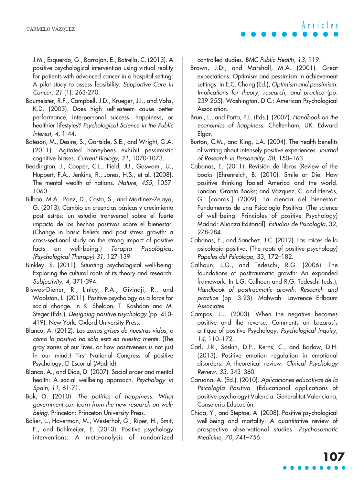J.M., Esquerdo, G., Barrajón, E., Botrella, C. (2013). A positive psychological intervention using virtual reality for patients with advanced cancer in a hospital setting: A pilot study to assess feasibility. Supportive Care in Cancer, 21 (1), 263-270.

- Baumeister, R.F., Campbell, J.D., Krueger, J.I., and Vohs, K.D. (2003). Does high self-esteem cause better performance, interpersonal success, happiness, or healthier lifestyles? Psychological Science in the Public Interest, 4, 1-44.
- Bateson, M., Desire, S., Gartside, S.E., and Wright, G.A. (2011). Agitated honeybees exhibit pessimistic cognitive biases. Current Biology, 21, 1070-1073.
- Beddington, J., Cooper, C.L., Field, JU., Goswami, U., Huppert, F.A., Jenkins, R., Jones, H.S., et al. (2008). The mental wealth of nations. Nature, 455, 1057- 1060.
- Bilbao, M.A., Paez, D., Costa, S., and Martínez-Zelaya, G. (2013). Cambio en creencias básicas y crecimiento post estrés: un estudio transversal sobre el fuerte impacto de los hechos positivos sobre el bienestar. (Change in basic beliefs and post stress growth: a cross-sectional study on the strong impact of positive facts on well-being.) Terapia Psicológica, (Psychological Therapy) 31, 127-139.
- Binkley, S. (2011). Situating psychological well-being: Exploring the cultural roots of its theory and research. Subjectivity, 4, 371-394.
- Biswas-Diener, R., Linley, P.A., Givindji, R., and Woolston, L. (2011). Positive psychology as a force for social change. In K. Sheldon, T. Kashdan and M. Steger (Eds.), Designing positive psychology (pp. 410- 419). New York: Oxford University Press.
- Blanco, A. (2012). Las zonas grises de nuestras vidas, o cómo lo positivo no sólo está en nuestra mente. (The gray zones of our lives, or how positiveness is not just in our mind.) First National Congress of positive Psychology, El Escorial (Madrid).
- Blanco, A., and Diaz, D. (2007). Social order and mental health: A social wellbeing approach. Psychology in Spain, 11, 61-71.
- Bok, D. (2010). The politics of happiness. What government can learn from the new research on wellbeing. Princeton: Princeton University Press.
- Bolier, L., Haverman, M., Westerhof, G., Riper, H., Smit, F., and Bohlmeijer, E. (2013). Positive psychology interventions: A meta-analysis of randomized

controlled studies. BMC Public Health, 13, 119.

- Brown, J.D:, and Marshall, M.A. (2001). Great expectations: Optimism and pessimism in achievement settings. In E.C. Chang (Ed.), Optimism and pessimism: Implications for theory, research, and practice (pp. 239-255). Washington, D.C.: American Psychological Association.
- Bruni, L., and Porta, P.L. (Eds.). (2007). Handbook on the economics of happiness. Cheltenham, UK: Edward Elgar.
- Burton, C.M., and King, L.A. (2004). The health benefits of writing about intensely positive experiences. Journal of Research in Personality, 38, 150–163.
- Cabanas, E. (2011). Revisión de libros (Review of the books [Ehrenreich, B. (2010). Smile or Die: How positive thinking fooled America and the world. London: Granta Books; and Vázquez, C. and Hervás, G. [coords.] (2009). La ciencia del bienestar: Fundamentos de una Psicología Positiva. (The science of well-being: Principles of positive Psychology) Madrid: Alianza Editorial]. Estudios de Psicología, 32, 278-284.
- Cabanas, E., and Sanchez, J.C. (2012). Las raíces de la psicología positiva. (The roots of positive psychology) Papeles del Psicólogo, 33, 172–182.
- Calhoun, L.G., and Tedeschi, R.G. (2006). The foundations of posttraumatic growth: An expanded framework. In L.G. Calhoun and R.G. Tedeschi (eds.), Handbook of posttraumatic growth: Research and practice (pp. 3-23). Mahwah: Lawrence Erlbaum Associates.
- Campos, J.J. (2003). When the negative becomes positive and the reverse: Comments on Lazarus's critique of positive Psychology. Psychological Inquiry, 14, 110–172.
- Carl, J.R., Soskin, D.P., Kerns, C., and Barlow, D.H. (2013). Positive emotion regulation in emotional disorders: A theoretical review. Clinical Psychology Review, 33, 343–360.
- Caruana, A. (Ed.). (2010). Aplicaciones educativas de la Psicología Positiva. (Educational applications of positive psychology) Valencia: Generalitat Valenciana, Consejería Educación.
- Chida, Y., and Steptoe, A. (2008). Positive psychological well-being and mortality: A quantitative review of prospective observational studies. Psychosomatic Medicine, 70, 741–756.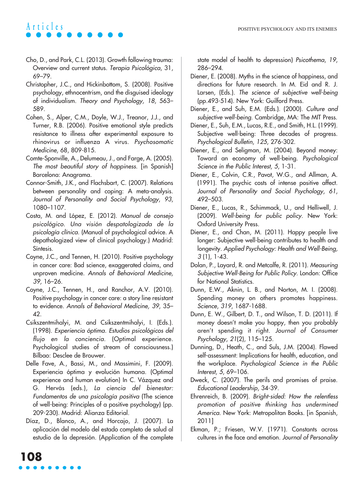- Cho, D., and Park, C.L. (2013). Growth following trauma: Overview and current status. Terapia Psicológica, 31, 69–79.
- Christopher, J.C., and Hickinbottom, S. (2008). Positive psychology, ethnocentrism, and the disguised ideology of individualism. Theory and Psychology, 18, 563– 589.
- Cohen, S., Alper, C.M., Doyle, W.J., Treanor, J.J., and Turner, R.B. (2006). Positive emotional style predicts resistance to illness after experimental exposure to rhinovirus or influenza A virus. Psychosomatic Medicine, 68, 809-815.
- Comte-Sponville, A., Delumeau, J., and Farge, A. (2005). The most beautiful story of happiness. [in Spanish] Barcelona: Anagrama.
- Connor-Smith, J.K., and Flachsbart, C. (2007). Relations between personality and coping: A meta-analysis. Journal of Personality and Social Psychology, 93, 1080–1107.
- Costa, M. and López, E. (2012). Manual de consejo psicológico. Una visión despatologizada de la psicología clínica. (Manual of psychological advice. A depathologized view of clinical psychology.) Madrid: Síntesis.
- Coyne, J.C., and Tennen, H. (2010). Positive psychology in cancer care: Bad science, exaggerated claims, and unproven medicine. Annals of Behavioral Medicine, 39, 16–26.
- Coyne, J.C., Tennen, H., and Ranchor, A.V. (2010). Positive psychology in cancer care: a story line resistant to evidence. Annals of Behavioral Medicine, 39, 35– 42.
- Csikszentmihalyi, M. and Csikszentmihalyi, I. (Eds.). (1998). Experiencia óptima. Estudios psicológicos del flujo en la conciencia. (Optimal experience. Psychological studies of stream of consciousness.) Bilbao: Desclee de Brouwer.
- Delle Fave, A., Bassi, M., and Massimini, F. (2009). Experiencia óptima y evolución humana. (Optimal experience and human evolution) In C. Vázquez and G. Hervás (eds.), La ciencia del bienestar: Fundamentos de una psicología positiva (The science of well-being: Principles of a positive psychology) (pp. 209-230). Madrid: Alianza Editorial.
- Díaz, D., Blanco, A., and Horcajo, J. (2007). La aplicación del modelo del estado completo de salud al estudio de la depresión. (Application of the complete

state model of health to depression) Psicothema, 19, 286–294.

- Diener, E. (2008). Myths in the science of happiness, and directions for future research. In M. Eid and R. J. Larsen, (Eds.). The science of subjective well-being (pp.493-514). New York: Guilford Press.
- Diener, E., and Suh, E.M. (Eds.). (2000). Culture and subiective well-being. Cambridge, MA: The MIT Press.
- Diener, E., Suh, E.M., Lucas, R.E., and Smith, H.L. (1999). Subjective well-being: Three decades of progress. Psychological Bulletin, 125, 276-302.
- Diener, E., and Seligman, M. (2004). Beyond money: Toward an economy of well-being. Psychological Science in the Public Interest, 5, 1-31.
- Diener, E., Colvin, C.R., Pavot, W.G., and Allman, A. (1991). The psychic costs of intense positive affect. Journal of Personality and Social Psychology, 61, 492–503.
- Diener, E., Lucas, R., Schimmack, U., and Helliwell, J. (2009). Well-being for public policy. New York: Oxford University Press.
- Diener, E., and Chan, M. (2011). Happy people live longer: Subjective well-being contributes to health and longevity. Applied Psychology: Health and Well-Being, 3 (1), 1-43.
- Dolan, P., Layard, R. and Metcalfe, R. (2011). Measuring Subjective Well-Being for Public Policy. London: Office for National Statistics.
- Dunn, E.W., Aknin, L. B., and Norton, M. I. (2008). Spending money on others promotes happiness. Science, 319, 1687-1688.
- Dunn, E. W., Gilbert, D. T., and Wilson, T. D. (2011). If money doesn't make you happy, then you probably aren't spending it right. Journal of Consumer Psychology, 21(2), 115–125.
- Dunning, D., Heath, C., and Suls, J.M. (2004). Flawed self-assessment: Implications for health, education, and the workplace. Psychological Science in the Public Interest, 5, 69–106.
- Dweck, C. (2007). The perils and promises of praise. Educational Leadership, 34-39.
- Ehrenreich, B. (2009). Bright-sided: How the relentless promotion of positive thinking has undermined America. New York: Metropolitan Books. [in Spanish, 2011]
- Ekman, P.; Friesen, W.V. (1971). Constants across cultures in the face and emotion. Journal of Personality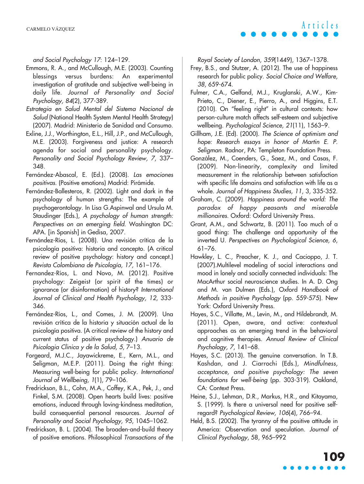and Social Psychology 17: 124–129.

- Emmons, R. A., and McCullough, M.E. (2003). Counting blessings versus burdens: An experimental investigation of gratitude and subjective well-being in daily life. Journal of Personality and Social Psychology, 84(2), 377-389.
- Estrategia en Salud Mental del Sistema Nacional de Salud (National Health System Mental Health Strategy) (2007). Madrid: Ministerio de Sanidad and Consumo.
- Exline, J.J., Worthington, E.L., Hill, J.P., and McCullough, M.E. (2003). Forgiveness and justice: A research agenda for social and personality psychology. Personality and Social Psychology Review, 7, 337– 348.
- Fernández-Abascal, E. (Ed.). (2008). Las emociones positivas. (Positive emotions) Madrid: Pirámide.
- Fernández-Ballesteros, R. (2002). Light and dark in the psychology of human strengths: The example of psychogerontology. In Lisa G.Aspinwal and Ursula M. Staudinger (Eds.), A psychology of human strength: Perspectives on an emerging field. Washington DC: APA. [in Spanish] in Gedisa, 2007.
- Fernández-Ríos, L. (2008). Una revisión crítica de la psicología positiva: historia and concepto. (A critical review of positive psychology: history and concept.) Revista Colombiana de Psicología, 17, 161–176.
- Fernandez-Ríos, L. and Novo, M. (2012). Positive psychology: Zeigeist (or spirit of the times) or ignorance (or disinformation) of history? International Journal of Clinical and Health Psychology, 12, 333- 346.
- Fernández-Ríos, L., and Comes, J. M. (2009). Una revisión crítica de la historia y situación actual de la psicología positiva. (A critical review of the history and current status of positive psychology.) Anuario de Psicologia Clinica y de la Salud, 5, 7–13.
- Forgeard, M.J.C., Jayawickreme, E., Kern, M.L., and Seligman, M.E.P. (2011). Doing the right thing: Measuring well-being for public policy. International Journal of Wellbeing, 1(1), 79–106.
- Fredrickson, B.L., Cohn, M.A., Coffey, K.A., Pek, J., and Finkel, S.M. (2008). Open hearts build lives: positive emotions, induced through loving-kindness meditation, build consequential personal resources. Journal of Personality and Social Psychology, 95, 1045–1062.
- Fredrickson, B. L. (2004). The broaden-and-build theory of positive emotions. Philosophical Transactions of the

Royal Society of London, 359(1449), 1367–1378.

- Frey, B.S., and Stutzer, A. (2012). The use of happiness research for public policy. Social Choice and Welfare, 38, 659-674.
- Fulmer, C.A., Gelfand, M.J., Kruglanski, A.W., Kim-Prieto, C., Diener, E., Pierro, A., and Higgins, E.T. (2010). On "feeling right" in cultural contexts: how person-culture match affects self-esteem and subjective wellbeing. Psychological Science, 21(11), 1563–9.
- Gillham, J.E. (Ed). (2000). The Science of optimism and hope: Research essays in honor of Martin E. P. Seligman. Radnor, PA: Templeton Foundation Press.
- González, M., Coenders, G., Saez, M., and Casas, F. (2009). Non-linearity, complexity and limited measurement in the relationship between satisfaction with specific life domains and satisfaction with life as a whole. Journal of Happiness Studies, 11, 3, 335-352.
- Graham, C. (2009). Happiness around the world: The paradox of happy peasants and miserable millionaires. Oxford: Oxford University Press.
- Grant, A.M., and Schwartz, B. (2011). Too much of a good thing: The challenge and opportunity of the inverted U. Perspectives on Psychological Science, 6, 61–76.
- Hawkley, L. C., Preacher, K. J., and Cacioppo, J. T. (2007).Multilevel modeling of social interactions and mood in lonely and socially connected individuals: The MacArthur social neuroscience studies. In A. D. Ong and M. van Dulmen (Eds.), Oxford Handbook of Methods in positive Psychology (pp. 559-575). New York: Oxford University Press.
- Hayes, S.C., Villatte, M., Levin, M., and Hildebrandt, M. (2011). Open, aware, and active: contextual approaches as an emerging trend in the behavioral and cognitive therapies. Annual Review of Clinical Psychology, 7, 141–68.
- Hayes, S.C. (2013). The genuine conversation. In T.B. Kashdan, and J. Ciarrochi (Eds.), Mindfulness, acceptance, and positive psychology: The seven foundations for well-being (pp. 303-319). Oakland, CA: Context Press.
- Heine, S.J., Lehman, D.R., Markus, H.R., and Kitayama, S. (1999). Is there a universal need for positive selfregard? Psychological Review, 106(4), 766–94.
- Held, B.S. (2002). The tyranny of the positive attitude in America: Observation and speculation. Journal of Clinical Psychology, 58, 965–992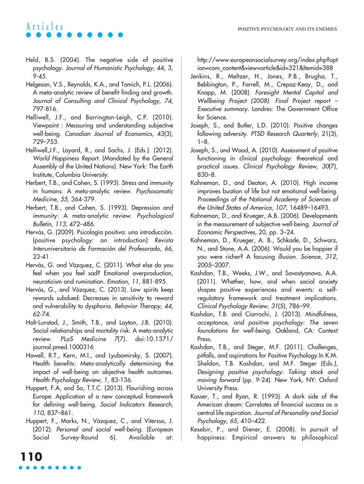- Held, B.S. (2004). The negative side of positive psychology. Journal of Humanistic Psychology, 44, 3, 9-45.
- Helgeson, V.S., Reynolds, K.A., and Tomich, P.L. (2006). A meta-analytic review of benefit finding and growth. Journal of Consulting and Clinical Psychology, 74, 797-816.
- Helliwell, J.F., and Barrington-Leigh, C.P. (2010). Viewpoint : Measuring and understanding subjective well-being. Canadian Journal of Economics, 43(3), 729–753.
- Helliwell,J.F., Layard, R., and Sachs, J. (Eds.). (2012). World Happiness Report. (Mandated by the General Assembly of the United Nations). New York: The Earth Institute, Columbia University.
- Herbert, T.B., and Cohen, S. (1993). Stress and immunity in humans: A meta-analytic review. Psychosomatic Medicine, <sup>55</sup>, 364-379.
- Herbert, T.B., and Cohen, S. (1993). Depression and immunity: A meta-analytic review. Psychological Bulletin, 113, 472–486.
- Hervás, G. (2009). Psicología positiva: una introducción. (positive psychology: an introduction) Revista Interuniversitaria de Formación del Profesorado, 66, 23-41
- Hervás, G. and Vázquez, C. (2011). What else do you feel when you feel sad? Emotional overproduction, neuroticism and rumination. Emotion, 11, 881-895.
- Hervás, G., and Vázquez, C. (2013). Low spirits keep rewards subdued: Decreases in sensitivity to reward and vulnerability to dysphoria. Behavior Therapy, 44, 62-74.
- Holt-Lunstad, J., Smith, T.B., and Layton, J.B. (2010). Social relationships and mortality risk: A meta-analytic review. PLoS Medicine <sup>7</sup>(7). doi:10.1371/ journal.pmed.1000316
- Howell, R.T., Kern, M.I., and Lyubomirsky, S. (2007). Health benefits: Meta-analytically determining the impact of well-being on objective health outcomes. Health Psychology Review, 1, 83-136.
- Huppert, F.A, and So, T.T.C. (2013). Flourishing across Europe: Application of a new conceptual framework for defining well-being. Social Indicators Research, 110, 837–861.
- Huppert, F., Marks, N., Vázquez, C., and Vitersso, J. (2012). Personal and social well-being. (European Social Survey-Round 6). Available at:

http://www.europeansocialsurvey.org/index.php?opt ion=com\_content&view=article&id=321&Itemid=388

- Jenkins, R., Meltzer, H., Jones, P.B., Brugha, T., Bebbington, P., Farrell, M., Crepaz-Keay, D., and Knapp, M. (2008). Foresight Mental Capital and Wellbeing Project (2008). Final Project report – Executive summary. Londres: The Government Office for Science.
- Joseph, S., and Butler, L.D. (2010). Positive changes following adversity. PTSD Research Quarterly, 21(3),  $1-8.$
- Joseph, S., and Wood, A. (2010). Assessment of positive functioning in clinical psychology: theoretical and practical issues. Clinical Psychology Review, 30(7), 830–8.
- Kahneman, D., and Deaton, A. (2010). High income improves buation of life but not emotional well-being. Proceedings of the National Academy of Sciences of the United States of America, 107, 16489–16493.
- Kahneman, D., and Krueger, A.B. (2006). Developments in the measurement of subjective well-being. Journal of Economic Perspectives, 20, pp. 3–24.
- Kahneman, D., Krueger, A. B., Schkade, D., Schwarz, N., and Stone, A.A. (2006). Would you be happier if you were richer? A focusing illusion. Science, 312, 2005–2007.
- Kashdan, T.B., Weeks, J.W., and Savostyanova, A.A. (2011). Whether, how, and when social anxiety shapes positive experiences and events: a selfregulatory framework and treatment implications. Clinical Psychology Review, 31(5), 786–99.
- Kashdan, T.B. and Ciarrochi, J. (2013). Mindfulness, acceptance, and positive psychology: The seven foundations for well-being. Oakland, CA: Context Press.
- Kashdan, T.B., and Steger, M.F. (2011). Challenges, pitfalls, and aspirations for Positive Psychology.In K.M. Sheldon, T.B. Kashdan, and M.F. Steger (Eds.), Designing positive psychology: Taking stock and moving forward (pp. 9-24). New York, NY: Oxford University Press.
- Kasser, T., and Ryan, R. (1993). A dark side of the American dream: Correlates of financial success as a central life aspiration. Journal of Personality and Social Psychology, 65, 410–422.
- Kesebir, P., and Diener, E. (2008). In pursuit of happiness: Empirical answers to philosophical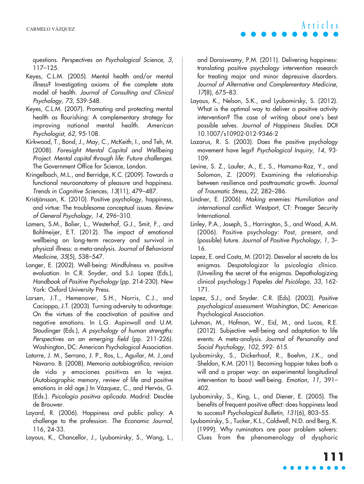questions. Perspectives on Psychological Science, 3, 117–125.

- Keyes, C.L.M. (2005). Mental health and/or mental illness? Investigating axioms of the complete state model of health. Journal of Consulting and Clinical Psychology, <sup>73</sup>, 539-548.
- Keyes, C.L.M. (2007). Promoting and protecting mental health as flourishing: A complementary strategy for improving national mental health. American Psychologist, <sup>62</sup>, 95-108.
- Kirkwood, T., Bond, J., May, C., McKeith, I., and Teh, M. (2008). Foresight Mental Capital and Wellbeing Project. Mental capital through life: Future challenges. The Government Office for Science, London.
- Kringelbach, M.L., and Berridge, K.C. (2009). Towards a functional neuroanatomy of pleasure and happiness. Trends in Cognitive Sciences, 13(11), 479–487.
- Kristjánsson, K. (2010). Positive psychology, happiness, and virtue: The troublesome conceptual issues. Review of General Psychology, 14, 296–310.
- Lamers, S.M., Bolier, L., Westerhof, G.J., Smit, F., and Bohlmeijer, E.T. (2012). The impact of emotional wellbeing on long-term recovery and survival in physical illness: a meta-analysis. Journal of Behavioral Medicine, 35(5), 538–547.
- Langer, E. (2002). Well-being: Mindfulness vs. positive evaluation. In C.R. Snyder, and S.J. Lopez (Eds.), Handbook of Positive Psychology (pp. 214-230). New York: Oxford University Press.
- Larsen, J.T., Hemenover, S.H., Norris, C.J., and Cacioppo, J.T. (2003). Turning adversity to advantage: On the virtues of the coactivation of positive and negative emotions. In L.G. Aspinwall and U.M. Staudinger (Eds.), A psychology of human strengths: Perspectives on an emerging field (pp. 211-226). Washington, DC: American Psychological Association.
- Latorre, J. M., Serrano, J. P., Ros, L., Aguilar, M. J.,and Navarro. B. (2008). Memoria autobiográfica, revision de vida y emociones positivas en la vejez. (Autobiographic memory, review of life and positive emotions in old age.) In Vázquez, C., and Hervás, G. (Eds.). Psicología positiva aplicada. Madrid: Desclée de Brouwer.
- Layard, R. (2006). Happiness and public policy: A challenge to the profession. The Economic Journal, 116, 24-33.
- Layous, K., Chancellor, J., Lyubomirsky, S., Wang, L.,

and Doraiswamy, P.M. (2011). Delivering happiness: translating positive psychology intervention research for treating major and minor depressive disorders. Journal of Alternative and Complementary Medicine, 17(8), 675–83.

- Layous, K., Nelson, S.K., and Lyubomirsky, S. (2012). What is the optimal way to deliver a positive activity intervention? The case of writing about one's best possible selves. Journal of Happiness Studies. DOI 10.1007/s10902-012-9346-2
- Lazarus, R. S. (2003). Does the positive psychology movement have legs? Psychological Inquiry, 14, 93- 109.
- Levine, S. Z., Laufer, A., E., S., Hamama-Raz, Y., and Solomon, Z. (2009). Examining the relationship between resilience and posttraumatic growth. Journal of Traumatic Stress, 22, 282–286.
- Lindner, E. (2006). Making enemies: Humiliation and international conflict. Westport, CT: Praeger Security International.
- Linley, P.A., Joseph, S., Harrington, S., and Wood, A.M. (2006). Positive psychology: Past, present, and (possible) future. Journal of Positive Psychology, 1, 3– 16.
- Lopez, E. and Costa, M. (2012). Desvelar el secreto de los enigmas. Despatologizar la psicología clínica. (Unveiling the secret of the enigmas. Depathologizing clinical psychology.) Papeles del Psicólogo, 33, 162- 171.
- Lopez, S.J., and Snyder. C.R. (Eds). (2003). Positive psychological assessment. Washington, DC: American Psychological Association.
- Luhman, M., Hofman, W., Eid, M., and Lucas, R.E. (2012). Subjective well-being and adaptation to life events: A meta-analysis. Journal of Personality and Social Psychology, <sup>102</sup>, 592- 615.
- Lyubomirsky, S., Dickerhoof, R., Boehm, J.K., and Sheldon, K.M. (2011). Becoming happier takes both a will and a proper way: an experimental longitudinal intervention to boost well-being. Emotion, 11, 391– 402.
- Lyubomirsky, S., King, L., and Diener, E. (2005). The benefits of frequent positive affect: does happiness lead to success? Psychological Bulletin, 131(6), 803–55.
- Lyubomirsky, S., Tucker, K.L., Caldwell, N.D. and Berg, K. (1999). Why ruminators are poor problem solvers: Clues from the phenomenology of dysphoric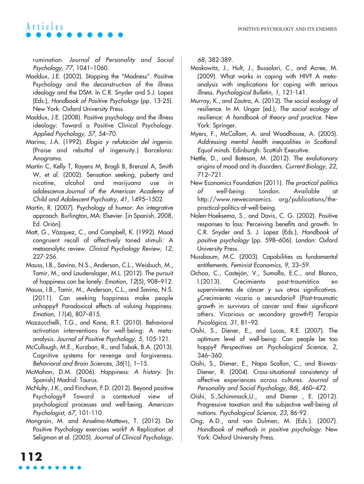rumination. Journal of Personality and Social Psychology, <sup>77</sup>, 1041–1060.

- Maddux, J.E. (2002). Stopping the "Madness". Positive Psychology and the deconstruction of the illness ideology and the DSM. In C.R. Snyder and S.J. Lopez (Eds.), Handbook of Positive Psychology (pp. 13-25). New York: Oxford University Press.
- Maddux, J.E. (2008). Positive psychology and the illness ideology: Toward a Positive Clinical Psychology. Applied Psychology, 57, 54–70.
- Marina, J.A. (1992). Elogio y refutación del ingenio. (Praise and rebuttal of ingenuity.) Barcelona: Anagrama.
- Martin C, Kelly T, Rayens M, Brogli B, Brenzel A, Smith W, et al. (2002). Sensation seeking, puberty and nicotine, alcohol and marijuana use in adolescence.Journal of the American Academy of Child and Adolescent Psychiatry, 41, 1495–1502.
- Martin, R. (2007). Psychology of humor: An integrative approach. Burlington, MA: Elsevier. [in Spanish, 2008, Ed. Orión].
- Matt, G., Vázquez, C., and Campbell, K. (1992). Mood congruent recall of affectively toned stimuli: A metaanalytic review. Clinical Psychology Review, 12, 227-256.
- Mauss, I.B., Savino, N.S., Anderson, C.L., Weisbuch, M., Tamir, M., and Laudenslager, M.L. (2012). The pursuit of happiness can be lonely. Emotion, 12(5), 908–912.
- Mauss, I.B., Tamir, M., Anderson, C.L., and Savino, N.S. (2011). Can seeking happiness make people unhappy? Paradoxical effects of valuing happiness. Emotion, 11(4), 807–815.
- Mazzucchelli, T.G., and Kane, R.T. (2010). Behavioral activation interventions for well-being: A metaanalysis. Journal of Positive Psychology, 5, 105-121.
- McCullough, M.E., Kurzban, R., and Tabak, B.A. (2013). Cognitive systems for revenge and forgiveness. Behavioral and Brain Sciences, 36(1), 1–15.
- McMahon, D.M. (2006). Happiness: A history. [In Spanish] Madrid: Taurus.
- McNulty, J.K., and Fincham, F.D. (2012). Beyond positive Psychology? Toward a contextual view of psychological processes and well-being. American Psychologist, <sup>67</sup>, 101-110.
- Mongrain, M. and Anselmo-Mattews, T. (2012). Do Positive Psychology exercises work? A Replication of Seligman et al. (2005). Journal of Clinical Psychology,

68, 382-389.

- Moskowitz, J., Hult, J., Bussolari, C., and Acree, M. (2009). What works in coping with HIV? A metaanalysis with implications for coping with serious illness. Psychological Bulletin, 1, 121-141.
- Murray, K., and Zautra, A. (2012). The social ecology of resilience. In M. Ungar (ed.), The social ecology of resilience: A handbook of theory and practice. New York: Springer.
- Myers, F., McCollam, A. and Woodhouse, A. (2005). Addressing mental health inequalities in Scotland: Equal minds. Edinburgh: Scottish Executive.
- Nettle, D., and Bateson, M. (2012). The evolutionary origins of mood and its disorders. Current Biology, 22, 712–721.
- New Economics Foundation (2011). The practical politics of well-being. London. Available at http://www.neweconomics. org/publications/thepractical-politics-of-well-being.
- Nolen-Hoeksema, S., and Davis, C. G. (2002). Positive responses to loss: Perceiving benefits and growth. In C.R. Snyder and S. J. Lopez (Eds.), Handbook of positive psychology (pp. 598–606). London: Oxford University Press.
- Nussbaum, M.C. (2003). Capabilities as fundamental entitlements. Feminist Economics, 9, 33–59.
- Ochoa, C., Castejón, V., Sumalla, E.C., and Blanco, I.(2013). Crecimiento post-traumático en supervivientes de cáncer y sus otros significativos. ¿Crecimiento vicario o secundario? (Post-traumatic growth in survivors of cancer and their significant others. Vicarious or secondary growth?) Terapia Psicológica, 31, 81–92.
- Oishi, S., Diener, E., and Lucas, R.E. (2007). The optimum level of well-being: Can people be too happy? Perspectives on Psychological Science, 2, 346–360.
- Oishi, S., Diener, E., Napa Scollon, C., and Biswas-Diener, R. (2004). Cross-situational consistency of affective experiences across cultures. Journal of Personality and Social Psychology, 86(, 460–472.
- Oishi, S.,Schimmack,U., and Diener , E. (2012). Progressive taxation and the subjective well-being of nations. Psychological Science, 23, 86-92.
- Ong, A.D., and van Dulmen, M. (Eds.). (2007). Handbook of methods in positive psychology. New York: Oxford University Press.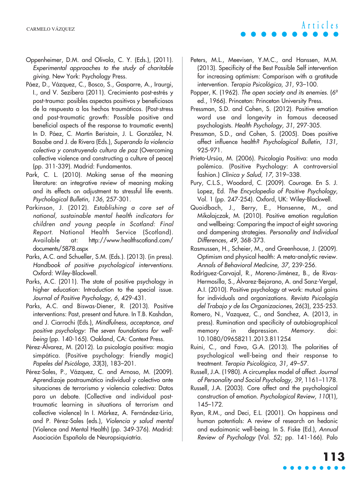- Oppenheimer, D.M. and Olivola, C. Y. (Eds.), (2011). Experimental approaches to the study of charitable giving. New York: Psychology Press.
- Páez, D., Vázquez, C., Bosco, S., Gasparre, A., Iraurgi, I., and V. Sezibera (2011). Crecimiento post-estrés y post-trauma: posibles aspectos positivos y beneficiosos de la respuesta a los hechos traumáticos. (Post-stress and post-traumatic growth: Possible positive and beneficial aspects of the response to traumatic events) In D. Páez, C. Martín Beristain, J. L. González, N. Basabe and J. de Rivera (Eds.), Superando la violencia colectiva y construyendo cultura de paz (Overcoming collective violence and constructing a culture of peace) (pp. 311-339). Madrid: Fundamentos.
- Park, C. L. (2010). Making sense of the meaning literature: an integrative review of meaning making and its effects on adjustment to stressful life events. Psychological Bulletin, 136, 257-301.
- Parkinson, J. (2012). Establishing a core set of national, sustainable mental health indicators for children and young people in Scotland: Final Report. National Health Service (Scotland). Available at: http://www.healthscotland.com/ documents/5878.aspx
- Parks, A.C. and Schueller, S.M. (Eds.). (2013). (in press). Handbook of positive psychological interventions. Oxford: Wiley-Blackwell.
- Parks, A.C. (2011). The state of positive psychology in higher education: Introduction to the special issue. Journal of Positive Psychology, 6, 429-431.
- Parks, A.C. and Biswas-Diener, R. (2013). Positive interventions: Past, present and future. In T.B. Kashdan, and J. Ciarrochi (Eds.), Mindfulness, acceptance, and positive psychology: The seven foundations for wellbeing (pp. 140-165). Oakland, CA: Context Press.
- Pérez-Álvarez, M. (2012). La psicología positiva: magia simpática. (Positive psychology: friendly magic) Papeles del Psicólogo, 33(3), 183–201.
- Pérez-Sales, P., Vázquez, C. and Arnoso, M. (2009). Aprendizaje postraumático individual y colectivo ante situaciones de terrorismo y violencia colectiva: Datos para un debate. (Collective and individual posttraumatic learning in situations of terrorism and collective violence) In I. Márkez, A. Fernández-Liria, and P. Pérez-Sales (eds.), Violencia y salud mental (Violence and Mental Health) (pp. 349-376). Madrid: Asociación Española de Neuropsiquiatría.
- Peters, M.L., Meevisen, Y.M.C., and Hanssen, M.M. (2013). Specificity of the Best Possible Self intervention for increasing optimism: Comparison with a gratitude intervention. Terapia Psicológica, 31, 93–100.
- Popper, K. (1962). The open society and its enemies.  $6^{\circ}$ ed., 1966). Princeton: Princeton University Press.
- Pressman, S.D. and Cohen, S. (2012). Positive emotion word use and longevity in famous deceased psychologists. Health Psychology, 31, 297-305.
- Pressman, S.D., and Cohen, S. (2005). Does positive affect influence health? Psychological Bulletin, 131, 925-971.
- Prieto-Ursúa, M. (2006). Psicología Positiva: una moda polémica. (Positive Psychology: A controversial fashion.) Clínica y Salud, 17, 319–338.
- Pury, C.L.S., Woodard, C. (2009). Courage. En S. J. Lopez, Ed. The Encyclopedia of Positive Psychology, Vol. 1 (pp. 247-254). Oxford, UK: Wiley-Blackwell.
- Quoidbach, J., Berry, E., Hansenne, M., and Mikolajczak, M. (2010). Positive emotion regulation and wellbeing: Comparing the impact of eight savoring and dampening strategies. Personality and Individual Differences, 49, 368-373.
- Rasmussen, H., Scheier, M., and Greenhouse, J. (2009). Optimism and physical health: A meta-analytic review. Annals of Behavioral Medicine, 37, 239-256.
- Rodríguez-Carvajal, R., Moreno-Jiménez, B., de Rivas-Hermosilla, S., Álvarez-Bejarano, A. and Sanz-Vergel, A.I. (2010). Positive psychology at work: mutual gains for individuals and organizations. Revista Psicología del Trabajo y de las Organizaciones, 26(3), 235-253.
- Romero, N., Vazquez, C., and Sanchez, A. (2013, in press). Rumination and specificity of autobiographical memory in depression. Memory. doi: 10.1080/09658211.2013.811254
- Ruini, C., and Fava, G.A. (2013). The polarities of psychological well-being and their response to treatment. Terapia Psicológica, 31, 49–57.
- Russell, J.A. (1980). A circumplex model of affect. Journal of Personality and Social Psychology, 39, 1161–1178.
- Russell, J.A. (2003). Core affect and the psychological construction of emotion. Psychological Review, <sup>110</sup>(1), 145–172.
- Ryan, R.M., and Deci, E.L. (2001). On happiness and human potentials: A review of research on hedonic and eudaimonic well-being. In S. Fiske (Ed.), Annual Review of Psychology (Vol. 52; pp. 141-166). Palo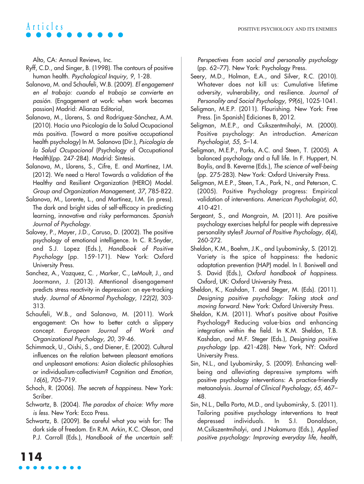Alto, CA: Annual Reviews, Inc.

- Ryff, C.D., and Singer, B. (1998). The contours of positive human health. Psychological Inquiry, 9, 1-28.
- Salanova, M. and Schaufeli, W.B. (2009). El engagement en el trabajo: cuando el trabajo se convierte en pasión. (Engagement at work: when work becomes passion) Madrid: Alianza Editorial,
- Salanova, M., Llorens, S. and Rodríguez-Sánchez, A.M. (2010). Hacia una Psicología de la Salud Ocupacional más positiva. (Toward a more positive occupational health psychology) In M. Salanova (Dir.), Psicología de la Salud Ocupacional (Psychology of Occupational Health)(pp. 247-284). Madrid: Síntesis.
- Salanova, M., Llorens, S., Cifre, E. and Martínez, I.M. (2012). We need a Hero! Towards a validation of the Healthy and Resilient Organization (HERO) Model. Group and Organization Management, 37, 785-822.
- Salanova, M., Lorente, L., and Martínez, I.M. (in press). The dark and bright sides of self-efficacy in predicting learning, innovative and risky performances. Spanish Journal of Psychology.
- Salovey, P., Mayer, J.D., Caruso, D. (2002). The positive psychology of emotional intelligence. In C. R.Snyder, and S.J. Lopez (Eds.), Handbook of Positive Psychology (pp. 159-171). New York: Oxford University Press.
- Sanchez, A., Vazquez, C. , Marker, C., LeMoult, J., and Joormann, J. (2013). Attentional disengagement predicts stress reactivity in depression: an eye-tracking study. Journal of Abnormal Psychology, 122(2), 303- 313.
- Schaufeli, W.B., and Salanova, M. (2011). Work engagement: On how to better catch a slippery concept. European Journal of Work and Organizational Psychology, 20, 39-46.
- Schimmack, U., Oishi, S., and Diener, E. (2002). Cultural influences on the relation between pleasant emotions and unpleasant emotions: Asian dialectic philosophies or individualism-collectivism? Cognition and Emotion, 16(6), 705–719.
- Schoch, R. (2006). The secrets of happiness. New York: Scriber.
- Schwartz, B. (2004). The paradox of choice: Why more is less. New York: Ecco Press.
- Schwartz, B. (2009). Be careful what you wish for: The dark side of freedom. En R.M. Arkin, K.C. Oleson, and P.J. Carroll (Eds.), Handbook of the uncertain self:

Perspectives from social and personality psychology (pp. 62–77). New York: Psychology Press.

- Seery, M.D., Holman, E.A., and Silver, R.C. (2010). Whatever does not kill us: Cumulative lifetime adversity, vulnerability, and resilience. Journal of Personality and Social Psychology, 99(6), 1025-1041.
- Seligman, M.E.P. (2011). Flourishing. New York: Free Press. [in Spanish] Ediciones B, 2012.
- Seligman, M.E.P., and Csikszentmihalyi, M. (2000). Positive psychology: An introduction. American Psychologist, 55, 5–14.
- Seligman, M.E.P., Parks, A.C. and Steen, T. (2005). A balanced psychology and a full life. In F. Huppert, N. Baylis, and B. Keverne (Eds.), The science of well-being (pp. 275-283). New York: Oxford University Press.
- Seligman, M.E.P., Steen, T.A., Park, N., and Peterson, C. (2005). Positive Psychology progress: Empirical validation of interventions. American Psychologist, 60, 410-421.
- Sergeant, S., and Mongrain, M. (2011). Are positive psychology exercises helpful for people with depressive personality styles? Journal of Positive Psychology, 6(4), 260-272.
- Sheldon, K.M., Boehm, J.K., and Lyubomirsky, S. (2012). Variety is the spice of happiness: the hedonic adaptation prevention (HAP) model. In I. Boniwell and S. David (Eds.), Oxford handbook of happiness. Oxford, UK: Oxford University Press.
- Sheldon, K., Kashdan, T. and Steger, M. (Eds). (2011). Designing positive psychology: Taking stock and moving forward. New York: Oxford University Press.
- Sheldon, K.M. (2011). What's positive about Positive Psychology? Reducing value-bias and enhancing integration within the field. In K.M. Sheldon, T.B. Kashdan, and M.F. Steger (Eds.), Designing positive psychology (pp. 421-428). New York, NY: Oxford University Press.
- Sin, N.L., and Lyubomirsky, S. (2009). Enhancing wellbeing and alleviating depressive symptoms with positive psychology interventions: A practice-friendly metaanalysis. Journal of Clinical Psychology, 65, 467– 48.
- Sin, N.L., Della Porta, M.D., and Lyubomirsky, S. (2011). Tailoring positive psychology interventions to treat depressed individuals. In S.I. Donaldson, M.Csikszentmihalyi, and J.Nakamura (Eds.), Applied positive psychology: Improving everyday life, health,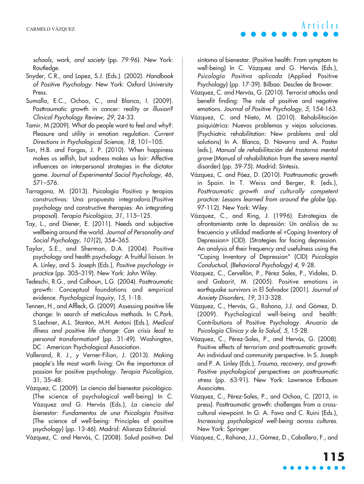schools, work, and society (pp. 79-96). New York: Routledge.

- Snyder, C.R., and Lopez, S.J. (Eds.). (2002). Handbook of Positive Psychology. New York: Oxford University Press.
- Sumalla, E.C., Ochoa, C., and Blanco, I. (2009). Posttraumatic growth in cancer: reality or illusion? Clinical Psychology Review, 29, 24-33.
- Tamir, M.(2009). What do people want to feel and why?: Pleasure and utility in emotion regulation. Current Directions in Psychological Science, 18, 101–105.
- Tan, H.B. and Forgas, J. P. (2010). When happiness makes us selfish, but sadness makes us fair: Affective influences on interpersonal strategies in the dictator game. Journal of Experimental Social Psychology, <sup>46</sup>, 571–576.
- Tarragona, M. (2013). Psicología Positiva y terapias constructivas: Una propuesta integradora.(Positive psychology and constructive therapies: An integrating proposal). Terapia Psicológica, 31, 115–125.
- Tay, L., and Diener, E. (2011). Needs and subjective wellbeing around the world. Journal of Personality and Social Psychology, 101(2), 354–365.
- Taylor, S.E., and Sherman, D.A. (2004). Positive psychology and health psychology: A fruitful liaison. In A. Linley, and S. Joseph (Eds.), Positive psychology in practice (pp. 305–319). New York: John Wiley.
- Tedeschi, R.G., and Calhoun, L.G. (2004). Posttraumatic growth: Conceptual foundations and empirical evidence. Psychological Inquiry, 15, 1-18.
- Tennen, H., and Affleck, G. (2009). Assessing positive life change: In search of meticulous methods. In C.Park, S.Lechner, A.L. Stanton, M.H. Antoni (Eds.), Medical illness and positive life change: Can crisis lead to personal transformation? (pp. 31-49). Washington, DC : American Psychological Association.
- Vallerand, R. J., y Verner-Filion, J. (2013). Making people's life most worth living: On the importance of passion for positive psychology. Terapia Psicológica, 31, 35–48.
- Vázquez, C. (2009). La ciencia del bienestar psicológico. (The science of psychological well-being) In C. Vázquez and G. Hervás (Eds.), La ciencia del bienestar: Fundamentos de una Psicología Positiva (The science of well-being: Principles of positive psychology) (pp. 13-46). Madrid: Alianza Editorial.

Vázquez, C. and Hervás, C. (2008). Salud positiva: Del

síntoma al bienestar. (Positive health: From symptom to well-being) In C. Vázquez and G. Hervás (Eds.), Psicología Positiva aplicada (Applied Positive Psychology) (pp. 17-39). Bilbao: Desclee de Brower.

- Vázquez, C. and Hervás, G. (2010). Terrorist attacks and benefit finding: The role of positive and negative emotions. Journal of Positive Psychology, 5, 154-163.
- Vázquez, C. and Nieto, M. (2010). Rehabilitación psiquiátrica: Nuevos problemas y viejas soluciones. (Psychiatric rehabilitation: New problems and old solutions) In A. Blanco, D. Navarro and A. Pastor (eds.), Manual de rehabilitación del trastorno mental grave (Manual of rehabilitation from the severe mental disorder) (pp. 59-75). Madrid: Síntesis.
- Vázquez, C. and Páez, D. (2010). Posttraumatic growth in Spain. In T. Weiss and Berger, R. (eds.), Posttraumatic growth and culturally competent practice: Lessons learned from around the globe (pp. 97-112). New York: Wiley.
- Vázquez, C., and Ring, J. (1996). Estrategias de afrontamiento ante la depresión: Un análisis de su frecuencia y utilidad mediante el «Coping Inventory of Depression» (CID). (Strategies for facing depression. An analysis of their frequency and usefulness using the "Coping Inventory of Depression" (CID) Psicología Conductual, (Behavioral Psychology) 4, 9-28.
- Vázquez, C., Cervellón, P., Pérez Sales, P., Vidales, D. and Gaborit, M. (2005). Positive emotions in earthquake survivors in El Salvador (2001). Journal of Anxiety Disorders, <sup>19</sup>, 313-328.
- Vázquez, C., Hervás, G., Rahona, J.J. and Gómez, D. (2009). Psychological well-being and health: Contributions of Positive Psychology. Anuario de Psicología Clínica y de la Salud, 5, 15-28.
- Vázquez, C., Pérez-Sales, P., and Hervás, G. (2008). Positive effects of terrorism and posttraumatic growth: An individual and community perspective. In S. Joseph and P. A. Linley (Eds.), Trauma, recovery, and growth: Positive psychological perspectives on posttraumatic stress (pp. 63-91). New York: Lawrence Erlbaum Associates.
- Vázquez, C., Pérez-Sales, P., and Ochoa, C. (2013, in press). Posttraumatic growth: challenges from a crosscultural viewpoint. In G. A. Fava and C. Ruini (Eds.), Increasing psychological well-being across cultures. New York: Springer.
- Vázquez, C., Rahona, J.J., Gómez, D., Caballero, F., and